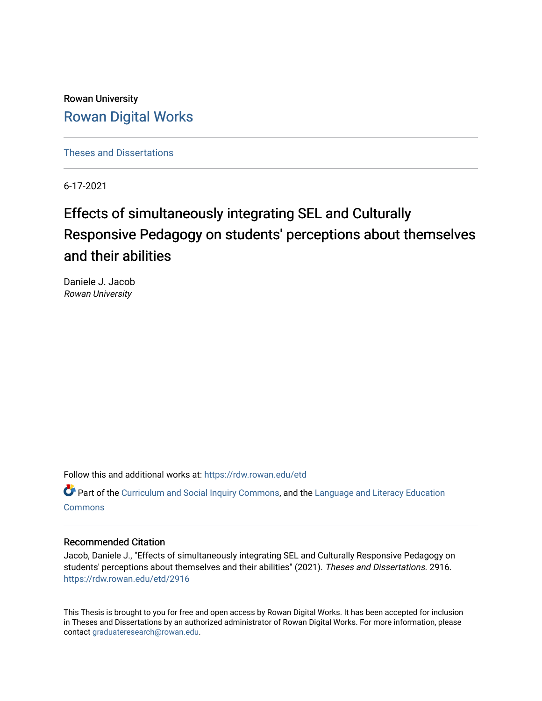Rowan University [Rowan Digital Works](https://rdw.rowan.edu/)

[Theses and Dissertations](https://rdw.rowan.edu/etd)

6-17-2021

# Effects of simultaneously integrating SEL and Culturally Responsive Pedagogy on students' perceptions about themselves and their abilities

Daniele J. Jacob Rowan University

Follow this and additional works at: [https://rdw.rowan.edu/etd](https://rdw.rowan.edu/etd?utm_source=rdw.rowan.edu%2Fetd%2F2916&utm_medium=PDF&utm_campaign=PDFCoverPages) 

Part of the [Curriculum and Social Inquiry Commons,](http://network.bepress.com/hgg/discipline/1038?utm_source=rdw.rowan.edu%2Fetd%2F2916&utm_medium=PDF&utm_campaign=PDFCoverPages) and the Language and Literacy Education **[Commons](http://network.bepress.com/hgg/discipline/1380?utm_source=rdw.rowan.edu%2Fetd%2F2916&utm_medium=PDF&utm_campaign=PDFCoverPages)** 

# Recommended Citation

Jacob, Daniele J., "Effects of simultaneously integrating SEL and Culturally Responsive Pedagogy on students' perceptions about themselves and their abilities" (2021). Theses and Dissertations. 2916. [https://rdw.rowan.edu/etd/2916](https://rdw.rowan.edu/etd/2916?utm_source=rdw.rowan.edu%2Fetd%2F2916&utm_medium=PDF&utm_campaign=PDFCoverPages)

This Thesis is brought to you for free and open access by Rowan Digital Works. It has been accepted for inclusion in Theses and Dissertations by an authorized administrator of Rowan Digital Works. For more information, please contact [graduateresearch@rowan.edu.](mailto:graduateresearch@rowan.edu)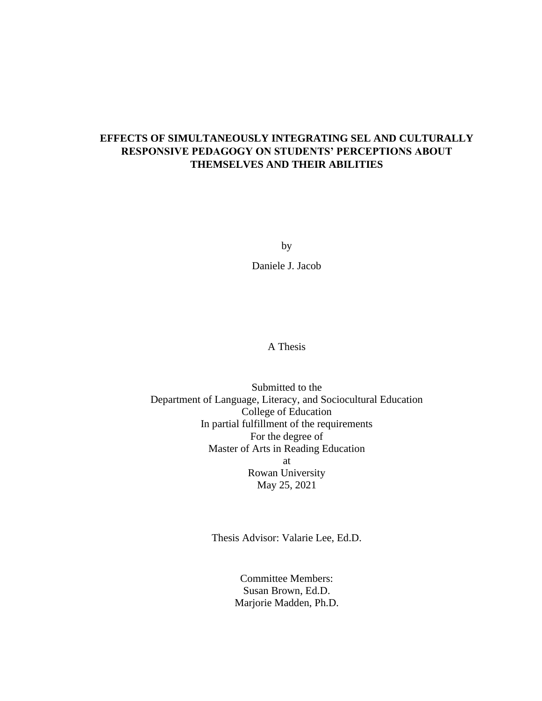# **EFFECTS OF SIMULTANEOUSLY INTEGRATING SEL AND CULTURALLY RESPONSIVE PEDAGOGY ON STUDENTS' PERCEPTIONS ABOUT THEMSELVES AND THEIR ABILITIES**

by

Daniele J. Jacob

A Thesis

Submitted to the Department of Language, Literacy, and Sociocultural Education College of Education In partial fulfillment of the requirements For the degree of Master of Arts in Reading Education at Rowan University May 25, 2021

Thesis Advisor: Valarie Lee, Ed.D.

Committee Members: Susan Brown, Ed.D. Marjorie Madden, Ph.D.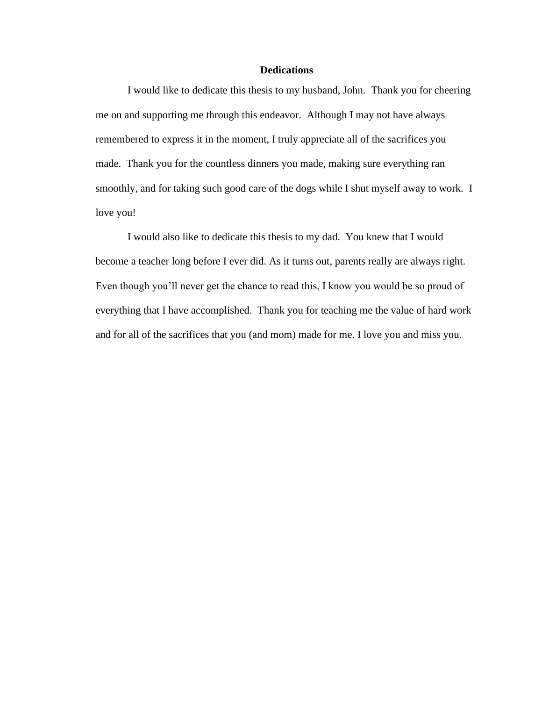# **Dedications**

I would like to dedicate this thesis to my husband, John. Thank you for cheering me on and supporting me through this endeavor. Although I may not have always remembered to express it in the moment, I truly appreciate all of the sacrifices you made. Thank you for the countless dinners you made, making sure everything ran smoothly, and for taking such good care of the dogs while I shut myself away to work. I love you!

I would also like to dedicate this thesis to my dad. You knew that I would become a teacher long before I ever did. As it turns out, parents really are always right. Even though you'll never get the chance to read this, I know you would be so proud of everything that I have accomplished. Thank you for teaching me the value of hard work and for all of the sacrifices that you (and mom) made for me. I love you and miss you.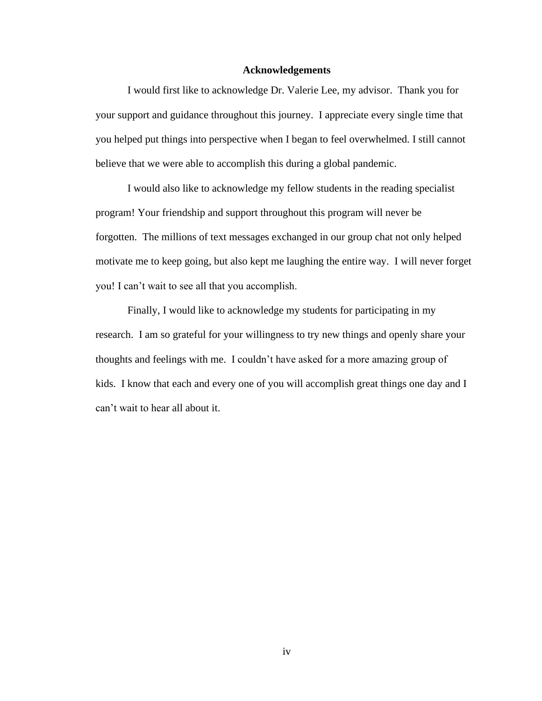#### **Acknowledgements**

I would first like to acknowledge Dr. Valerie Lee, my advisor. Thank you for your support and guidance throughout this journey. I appreciate every single time that you helped put things into perspective when I began to feel overwhelmed. I still cannot believe that we were able to accomplish this during a global pandemic.

I would also like to acknowledge my fellow students in the reading specialist program! Your friendship and support throughout this program will never be forgotten. The millions of text messages exchanged in our group chat not only helped motivate me to keep going, but also kept me laughing the entire way. I will never forget you! I can't wait to see all that you accomplish.

Finally, I would like to acknowledge my students for participating in my research. I am so grateful for your willingness to try new things and openly share your thoughts and feelings with me. I couldn't have asked for a more amazing group of kids. I know that each and every one of you will accomplish great things one day and I can't wait to hear all about it.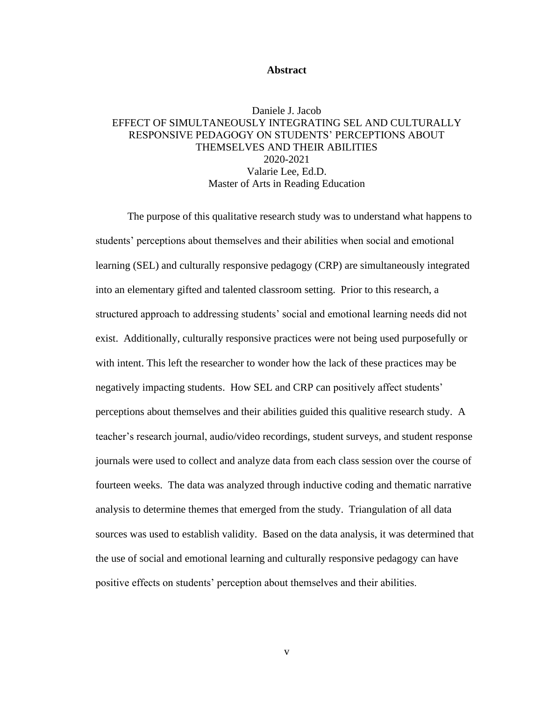#### **Abstract**

# Daniele J. Jacob EFFECT OF SIMULTANEOUSLY INTEGRATING SEL AND CULTURALLY RESPONSIVE PEDAGOGY ON STUDENTS' PERCEPTIONS ABOUT THEMSELVES AND THEIR ABILITIES 2020-2021 Valarie Lee, Ed.D. Master of Arts in Reading Education

The purpose of this qualitative research study was to understand what happens to students' perceptions about themselves and their abilities when social and emotional learning (SEL) and culturally responsive pedagogy (CRP) are simultaneously integrated into an elementary gifted and talented classroom setting. Prior to this research, a structured approach to addressing students' social and emotional learning needs did not exist. Additionally, culturally responsive practices were not being used purposefully or with intent. This left the researcher to wonder how the lack of these practices may be negatively impacting students. How SEL and CRP can positively affect students' perceptions about themselves and their abilities guided this qualitive research study. A teacher's research journal, audio/video recordings, student surveys, and student response journals were used to collect and analyze data from each class session over the course of fourteen weeks. The data was analyzed through inductive coding and thematic narrative analysis to determine themes that emerged from the study. Triangulation of all data sources was used to establish validity. Based on the data analysis, it was determined that the use of social and emotional learning and culturally responsive pedagogy can have positive effects on students' perception about themselves and their abilities.

v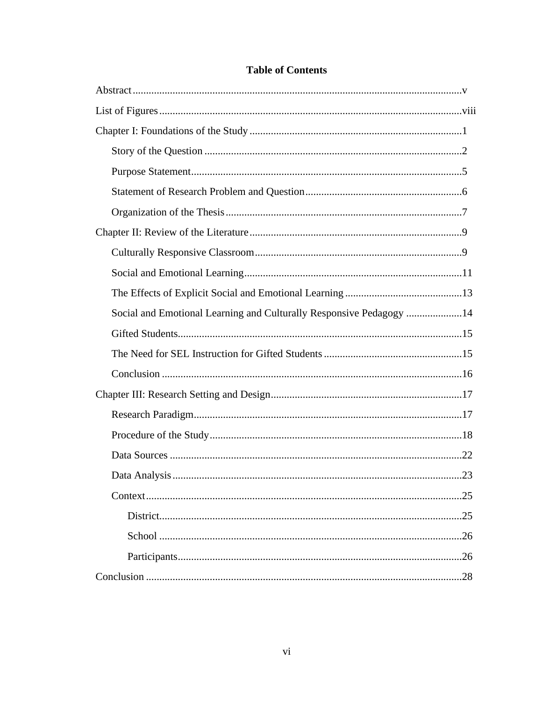| Social and Emotional Learning and Culturally Responsive Pedagogy 14 |
|---------------------------------------------------------------------|
|                                                                     |
|                                                                     |
|                                                                     |
|                                                                     |
|                                                                     |
|                                                                     |
|                                                                     |
|                                                                     |
|                                                                     |
|                                                                     |
|                                                                     |
| .26                                                                 |
| .26                                                                 |

# **Table of Contents**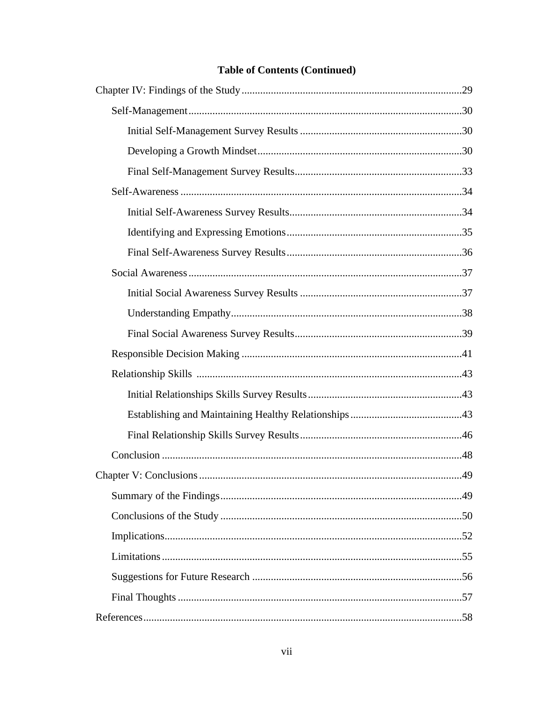# **Table of Contents (Continued)**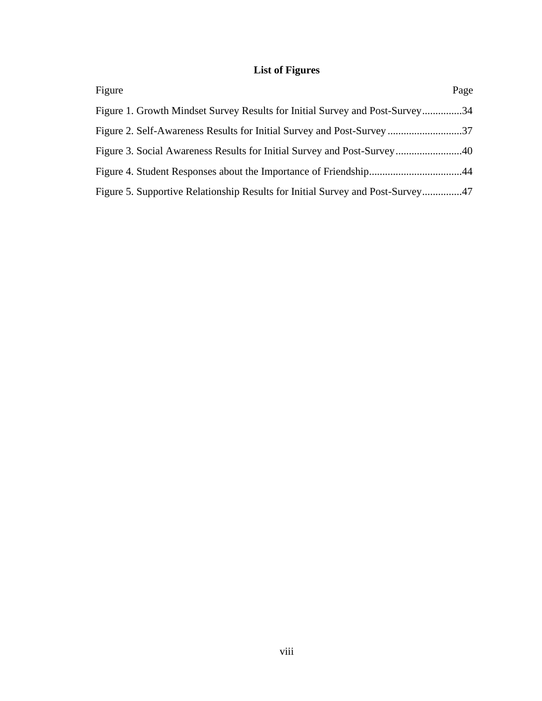# **List of Figures**

| Figure                                                                         | Page |
|--------------------------------------------------------------------------------|------|
| Figure 1. Growth Mindset Survey Results for Initial Survey and Post-Survey34   |      |
|                                                                                |      |
|                                                                                |      |
|                                                                                |      |
| Figure 5. Supportive Relationship Results for Initial Survey and Post-Survey47 |      |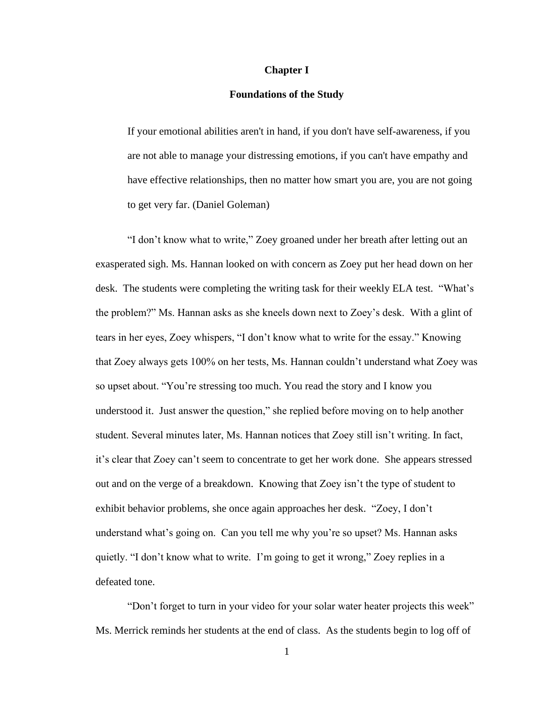#### **Chapter I**

#### **Foundations of the Study**

If your emotional abilities aren't in hand, if you don't have self-awareness, if you are not able to manage your distressing emotions, if you can't have empathy and have effective relationships, then no matter how smart you are, you are not going to get very far. (Daniel Goleman)

"I don't know what to write," Zoey groaned under her breath after letting out an exasperated sigh. Ms. Hannan looked on with concern as Zoey put her head down on her desk. The students were completing the writing task for their weekly ELA test. "What's the problem?" Ms. Hannan asks as she kneels down next to Zoey's desk. With a glint of tears in her eyes, Zoey whispers, "I don't know what to write for the essay." Knowing that Zoey always gets 100% on her tests, Ms. Hannan couldn't understand what Zoey was so upset about. "You're stressing too much. You read the story and I know you understood it. Just answer the question," she replied before moving on to help another student. Several minutes later, Ms. Hannan notices that Zoey still isn't writing. In fact, it's clear that Zoey can't seem to concentrate to get her work done. She appears stressed out and on the verge of a breakdown. Knowing that Zoey isn't the type of student to exhibit behavior problems, she once again approaches her desk. "Zoey, I don't understand what's going on. Can you tell me why you're so upset? Ms. Hannan asks quietly. "I don't know what to write. I'm going to get it wrong," Zoey replies in a defeated tone.

"Don't forget to turn in your video for your solar water heater projects this week" Ms. Merrick reminds her students at the end of class. As the students begin to log off of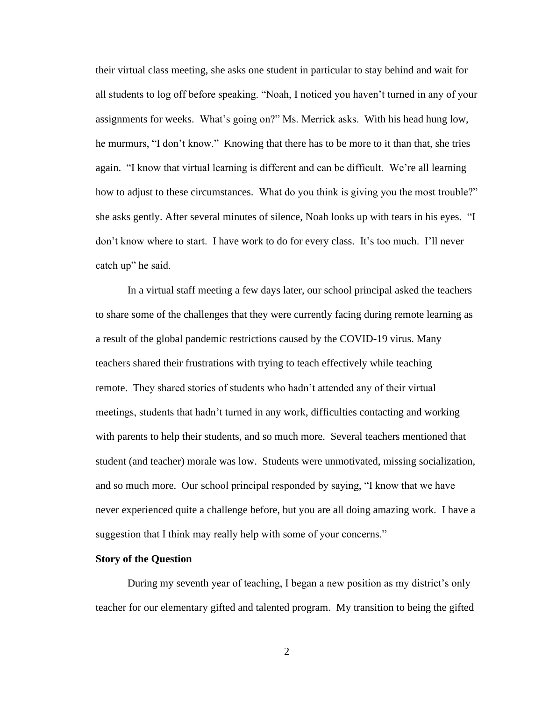their virtual class meeting, she asks one student in particular to stay behind and wait for all students to log off before speaking. "Noah, I noticed you haven't turned in any of your assignments for weeks. What's going on?" Ms. Merrick asks. With his head hung low, he murmurs, "I don't know." Knowing that there has to be more to it than that, she tries again. "I know that virtual learning is different and can be difficult. We're all learning how to adjust to these circumstances. What do you think is giving you the most trouble?" she asks gently. After several minutes of silence, Noah looks up with tears in his eyes. "I don't know where to start. I have work to do for every class. It's too much. I'll never catch up" he said.

In a virtual staff meeting a few days later, our school principal asked the teachers to share some of the challenges that they were currently facing during remote learning as a result of the global pandemic restrictions caused by the COVID-19 virus. Many teachers shared their frustrations with trying to teach effectively while teaching remote. They shared stories of students who hadn't attended any of their virtual meetings, students that hadn't turned in any work, difficulties contacting and working with parents to help their students, and so much more. Several teachers mentioned that student (and teacher) morale was low. Students were unmotivated, missing socialization, and so much more. Our school principal responded by saying, "I know that we have never experienced quite a challenge before, but you are all doing amazing work. I have a suggestion that I think may really help with some of your concerns."

#### **Story of the Question**

During my seventh year of teaching, I began a new position as my district's only teacher for our elementary gifted and talented program. My transition to being the gifted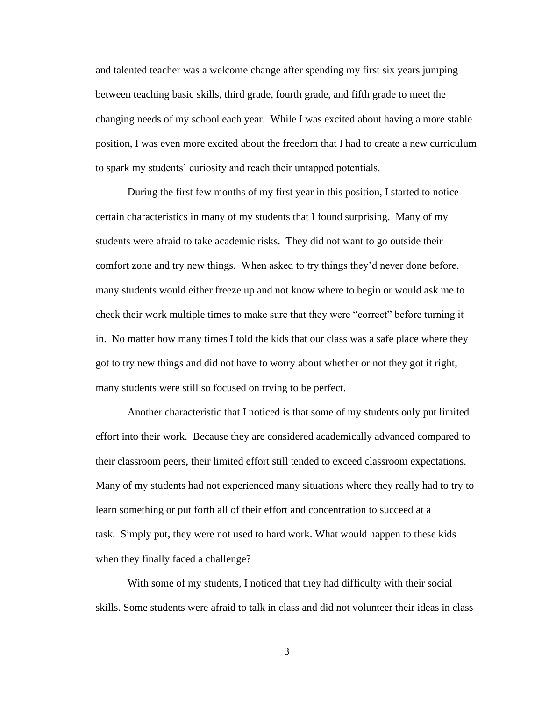and talented teacher was a welcome change after spending my first six years jumping between teaching basic skills, third grade, fourth grade, and fifth grade to meet the changing needs of my school each year. While I was excited about having a more stable position, I was even more excited about the freedom that I had to create a new curriculum to spark my students' curiosity and reach their untapped potentials.

During the first few months of my first year in this position, I started to notice certain characteristics in many of my students that I found surprising. Many of my students were afraid to take academic risks. They did not want to go outside their comfort zone and try new things. When asked to try things they'd never done before, many students would either freeze up and not know where to begin or would ask me to check their work multiple times to make sure that they were "correct" before turning it in. No matter how many times I told the kids that our class was a safe place where they got to try new things and did not have to worry about whether or not they got it right, many students were still so focused on trying to be perfect.

Another characteristic that I noticed is that some of my students only put limited effort into their work. Because they are considered academically advanced compared to their classroom peers, their limited effort still tended to exceed classroom expectations. Many of my students had not experienced many situations where they really had to try to learn something or put forth all of their effort and concentration to succeed at a task. Simply put, they were not used to hard work. What would happen to these kids when they finally faced a challenge?

With some of my students, I noticed that they had difficulty with their social skills. Some students were afraid to talk in class and did not volunteer their ideas in class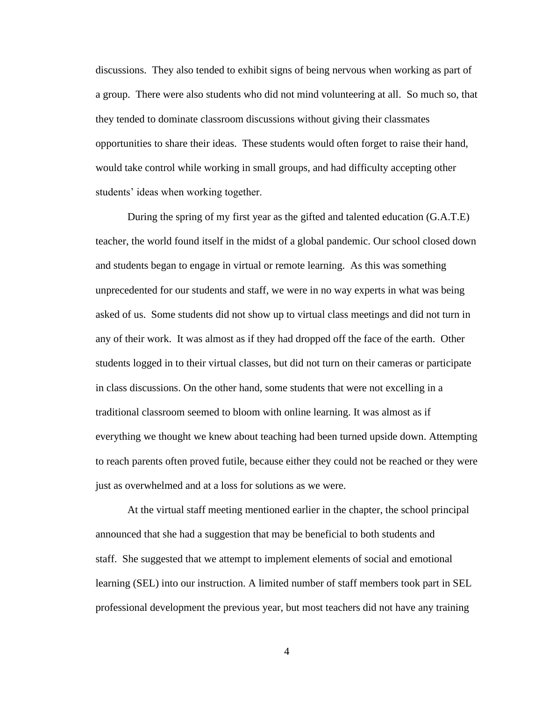discussions. They also tended to exhibit signs of being nervous when working as part of a group. There were also students who did not mind volunteering at all. So much so, that they tended to dominate classroom discussions without giving their classmates opportunities to share their ideas. These students would often forget to raise their hand, would take control while working in small groups, and had difficulty accepting other students' ideas when working together.

During the spring of my first year as the gifted and talented education (G.A.T.E) teacher, the world found itself in the midst of a global pandemic. Our school closed down and students began to engage in virtual or remote learning. As this was something unprecedented for our students and staff, we were in no way experts in what was being asked of us. Some students did not show up to virtual class meetings and did not turn in any of their work. It was almost as if they had dropped off the face of the earth. Other students logged in to their virtual classes, but did not turn on their cameras or participate in class discussions. On the other hand, some students that were not excelling in a traditional classroom seemed to bloom with online learning. It was almost as if everything we thought we knew about teaching had been turned upside down. Attempting to reach parents often proved futile, because either they could not be reached or they were just as overwhelmed and at a loss for solutions as we were.

At the virtual staff meeting mentioned earlier in the chapter, the school principal announced that she had a suggestion that may be beneficial to both students and staff. She suggested that we attempt to implement elements of social and emotional learning (SEL) into our instruction. A limited number of staff members took part in SEL professional development the previous year, but most teachers did not have any training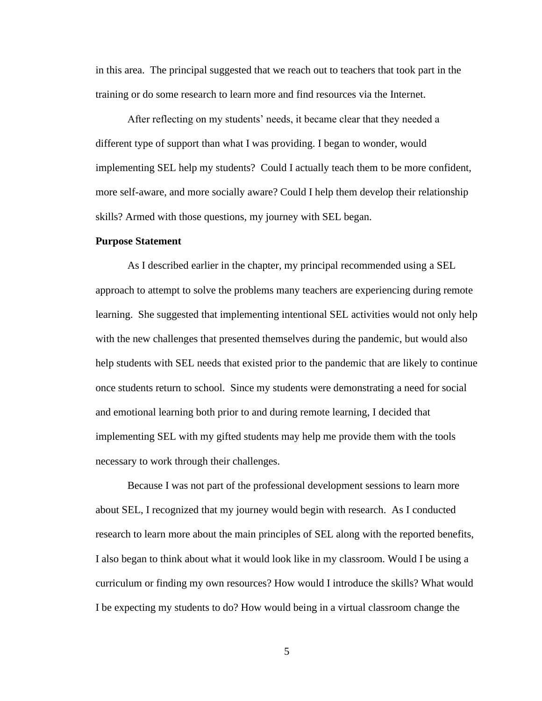in this area. The principal suggested that we reach out to teachers that took part in the training or do some research to learn more and find resources via the Internet.

After reflecting on my students' needs, it became clear that they needed a different type of support than what I was providing. I began to wonder, would implementing SEL help my students? Could I actually teach them to be more confident, more self-aware, and more socially aware? Could I help them develop their relationship skills? Armed with those questions, my journey with SEL began.

#### **Purpose Statement**

As I described earlier in the chapter, my principal recommended using a SEL approach to attempt to solve the problems many teachers are experiencing during remote learning. She suggested that implementing intentional SEL activities would not only help with the new challenges that presented themselves during the pandemic, but would also help students with SEL needs that existed prior to the pandemic that are likely to continue once students return to school. Since my students were demonstrating a need for social and emotional learning both prior to and during remote learning, I decided that implementing SEL with my gifted students may help me provide them with the tools necessary to work through their challenges.

Because I was not part of the professional development sessions to learn more about SEL, I recognized that my journey would begin with research. As I conducted research to learn more about the main principles of SEL along with the reported benefits, I also began to think about what it would look like in my classroom. Would I be using a curriculum or finding my own resources? How would I introduce the skills? What would I be expecting my students to do? How would being in a virtual classroom change the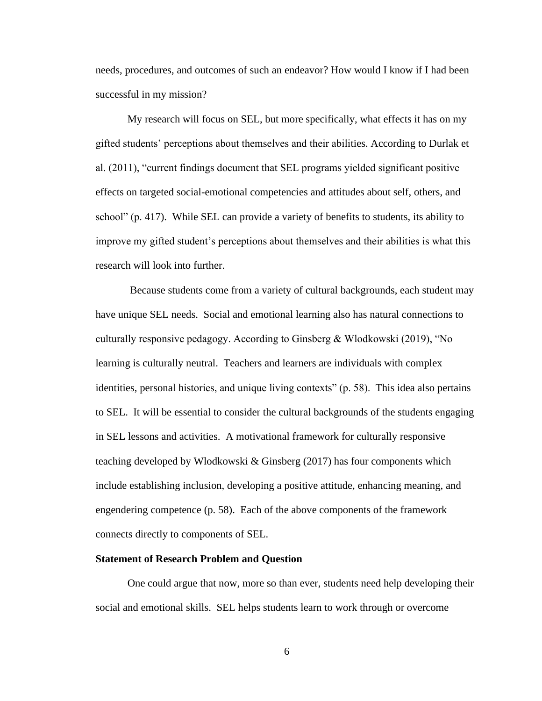needs, procedures, and outcomes of such an endeavor? How would I know if I had been successful in my mission?

 My research will focus on SEL, but more specifically, what effects it has on my gifted students' perceptions about themselves and their abilities. According to Durlak et al. (2011), "current findings document that SEL programs yielded significant positive effects on targeted social-emotional competencies and attitudes about self, others, and school" (p. 417). While SEL can provide a variety of benefits to students, its ability to improve my gifted student's perceptions about themselves and their abilities is what this research will look into further.

Because students come from a variety of cultural backgrounds, each student may have unique SEL needs. Social and emotional learning also has natural connections to culturally responsive pedagogy. According to Ginsberg & Wlodkowski (2019), "No learning is culturally neutral. Teachers and learners are individuals with complex identities, personal histories, and unique living contexts" (p. 58). This idea also pertains to SEL. It will be essential to consider the cultural backgrounds of the students engaging in SEL lessons and activities. A motivational framework for culturally responsive teaching developed by Wlodkowski & Ginsberg (2017) has four components which include establishing inclusion, developing a positive attitude, enhancing meaning, and engendering competence (p. 58). Each of the above components of the framework connects directly to components of SEL.

#### **Statement of Research Problem and Question**

One could argue that now, more so than ever, students need help developing their social and emotional skills. SEL helps students learn to work through or overcome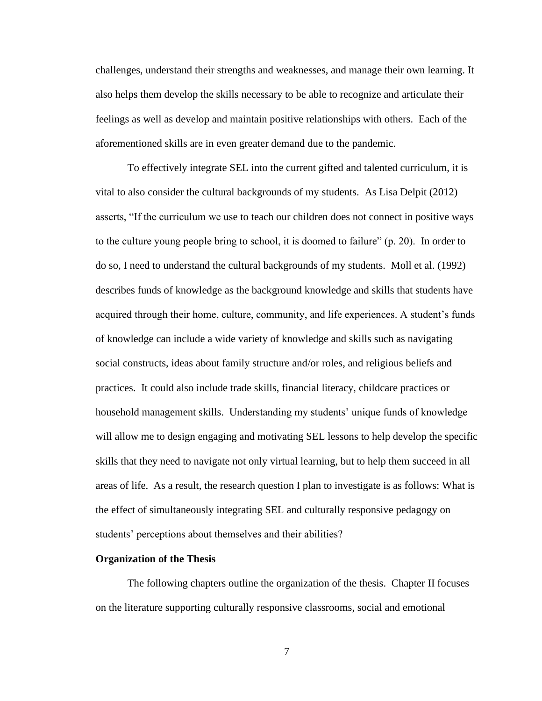challenges, understand their strengths and weaknesses, and manage their own learning. It also helps them develop the skills necessary to be able to recognize and articulate their feelings as well as develop and maintain positive relationships with others. Each of the aforementioned skills are in even greater demand due to the pandemic.

To effectively integrate SEL into the current gifted and talented curriculum, it is vital to also consider the cultural backgrounds of my students. As Lisa Delpit (2012) asserts, "If the curriculum we use to teach our children does not connect in positive ways to the culture young people bring to school, it is doomed to failure" (p. 20). In order to do so, I need to understand the cultural backgrounds of my students. Moll et al. (1992) describes funds of knowledge as the background knowledge and skills that students have acquired through their home, culture, community, and life experiences. A student's funds of knowledge can include a wide variety of knowledge and skills such as navigating social constructs, ideas about family structure and/or roles, and religious beliefs and practices. It could also include trade skills, financial literacy, childcare practices or household management skills. Understanding my students' unique funds of knowledge will allow me to design engaging and motivating SEL lessons to help develop the specific skills that they need to navigate not only virtual learning, but to help them succeed in all areas of life. As a result, the research question I plan to investigate is as follows: What is the effect of simultaneously integrating SEL and culturally responsive pedagogy on students' perceptions about themselves and their abilities?

#### **Organization of the Thesis**

The following chapters outline the organization of the thesis. Chapter II focuses on the literature supporting culturally responsive classrooms, social and emotional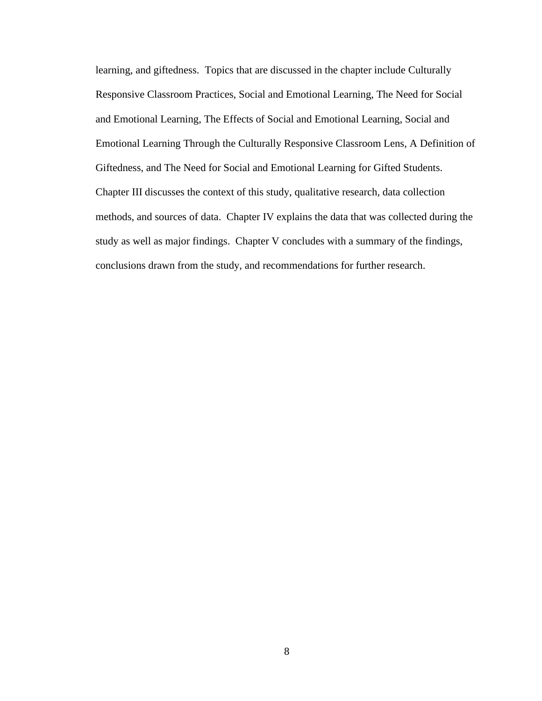learning, and giftedness. Topics that are discussed in the chapter include Culturally Responsive Classroom Practices, Social and Emotional Learning, The Need for Social and Emotional Learning, The Effects of Social and Emotional Learning, Social and Emotional Learning Through the Culturally Responsive Classroom Lens, A Definition of Giftedness, and The Need for Social and Emotional Learning for Gifted Students. Chapter III discusses the context of this study, qualitative research, data collection methods, and sources of data. Chapter IV explains the data that was collected during the study as well as major findings. Chapter V concludes with a summary of the findings, conclusions drawn from the study, and recommendations for further research.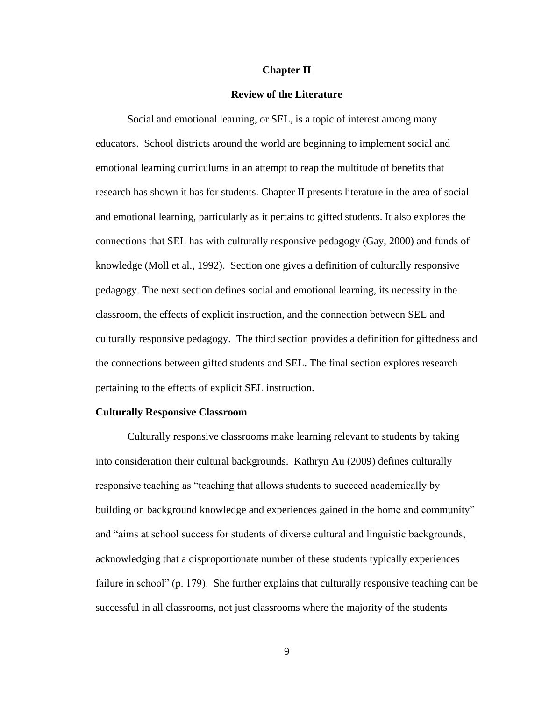#### **Chapter II**

#### **Review of the Literature**

Social and emotional learning, or SEL, is a topic of interest among many educators. School districts around the world are beginning to implement social and emotional learning curriculums in an attempt to reap the multitude of benefits that research has shown it has for students. Chapter II presents literature in the area of social and emotional learning, particularly as it pertains to gifted students. It also explores the connections that SEL has with culturally responsive pedagogy (Gay, 2000) and funds of knowledge (Moll et al., 1992). Section one gives a definition of culturally responsive pedagogy. The next section defines social and emotional learning, its necessity in the classroom, the effects of explicit instruction, and the connection between SEL and culturally responsive pedagogy. The third section provides a definition for giftedness and the connections between gifted students and SEL. The final section explores research pertaining to the effects of explicit SEL instruction.

#### **Culturally Responsive Classroom**

Culturally responsive classrooms make learning relevant to students by taking into consideration their cultural backgrounds. Kathryn Au (2009) defines culturally responsive teaching as "teaching that allows students to succeed academically by building on background knowledge and experiences gained in the home and community" and "aims at school success for students of diverse cultural and linguistic backgrounds, acknowledging that a disproportionate number of these students typically experiences failure in school" (p. 179). She further explains that culturally responsive teaching can be successful in all classrooms, not just classrooms where the majority of the students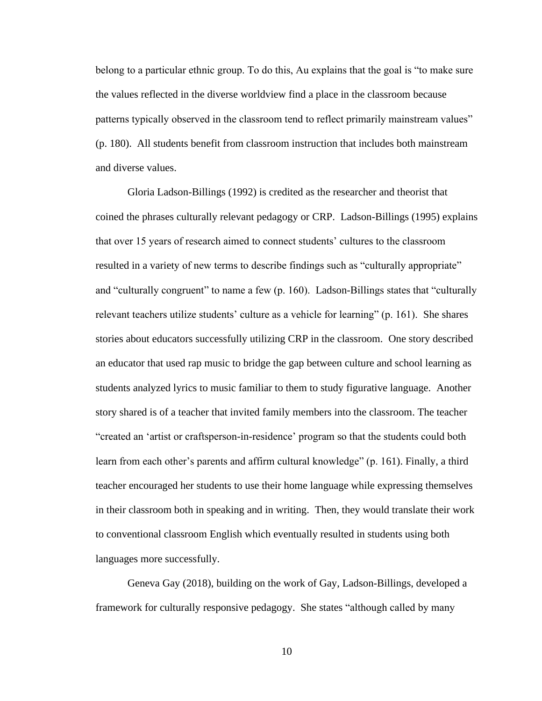belong to a particular ethnic group. To do this, Au explains that the goal is "to make sure the values reflected in the diverse worldview find a place in the classroom because patterns typically observed in the classroom tend to reflect primarily mainstream values" (p. 180). All students benefit from classroom instruction that includes both mainstream and diverse values.

Gloria Ladson-Billings (1992) is credited as the researcher and theorist that coined the phrases culturally relevant pedagogy or CRP. Ladson-Billings (1995) explains that over 15 years of research aimed to connect students' cultures to the classroom resulted in a variety of new terms to describe findings such as "culturally appropriate" and "culturally congruent" to name a few (p. 160). Ladson-Billings states that "culturally relevant teachers utilize students' culture as a vehicle for learning" (p. 161). She shares stories about educators successfully utilizing CRP in the classroom. One story described an educator that used rap music to bridge the gap between culture and school learning as students analyzed lyrics to music familiar to them to study figurative language. Another story shared is of a teacher that invited family members into the classroom. The teacher "created an 'artist or craftsperson-in-residence' program so that the students could both learn from each other's parents and affirm cultural knowledge" (p. 161). Finally, a third teacher encouraged her students to use their home language while expressing themselves in their classroom both in speaking and in writing. Then, they would translate their work to conventional classroom English which eventually resulted in students using both languages more successfully.

Geneva Gay (2018), building on the work of Gay, Ladson-Billings, developed a framework for culturally responsive pedagogy. She states "although called by many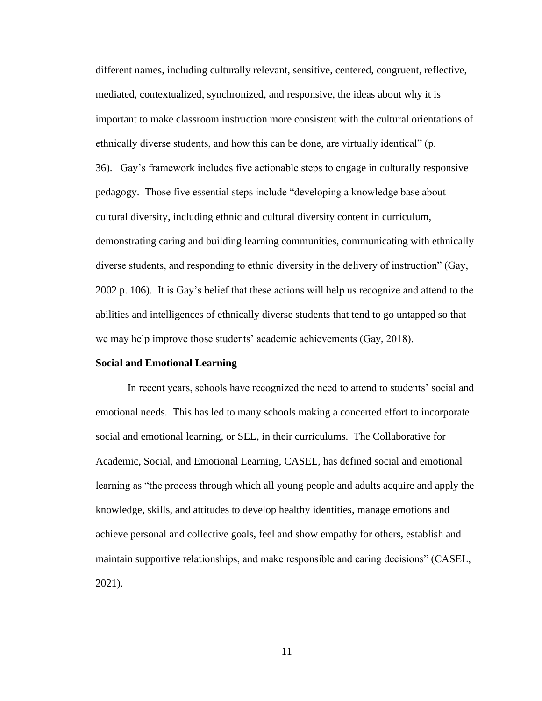different names, including culturally relevant, sensitive, centered, congruent, reflective, mediated, contextualized, synchronized, and responsive, the ideas about why it is important to make classroom instruction more consistent with the cultural orientations of ethnically diverse students, and how this can be done, are virtually identical" (p. 36). Gay's framework includes five actionable steps to engage in culturally responsive pedagogy. Those five essential steps include "developing a knowledge base about cultural diversity, including ethnic and cultural diversity content in curriculum, demonstrating caring and building learning communities, communicating with ethnically diverse students, and responding to ethnic diversity in the delivery of instruction" (Gay, 2002 p. 106). It is Gay's belief that these actions will help us recognize and attend to the abilities and intelligences of ethnically diverse students that tend to go untapped so that we may help improve those students' academic achievements (Gay, 2018).

### **Social and Emotional Learning**

In recent years, schools have recognized the need to attend to students' social and emotional needs. This has led to many schools making a concerted effort to incorporate social and emotional learning, or SEL, in their curriculums. The Collaborative for Academic, Social, and Emotional Learning, CASEL, has defined social and emotional learning as "the process through which all young people and adults acquire and apply the knowledge, skills, and attitudes to develop healthy identities, manage emotions and achieve personal and collective goals, feel and show empathy for others, establish and maintain supportive relationships, and make responsible and caring decisions" (CASEL, 2021).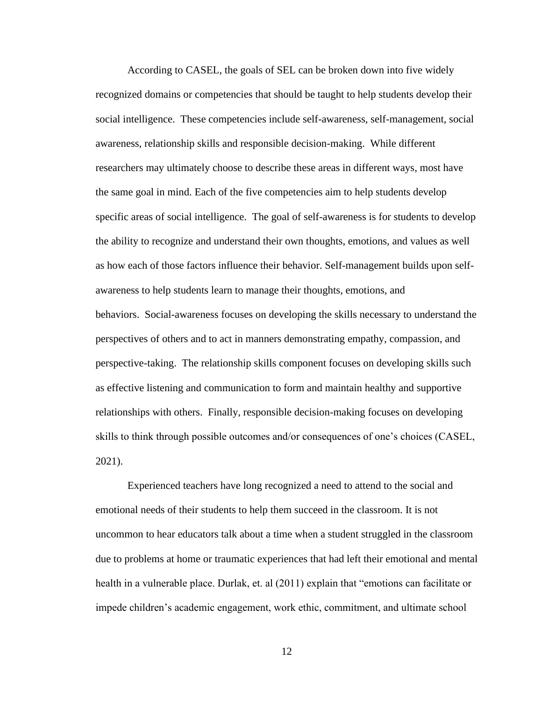According to CASEL, the goals of SEL can be broken down into five widely recognized domains or competencies that should be taught to help students develop their social intelligence. These competencies include self-awareness, self-management, social awareness, relationship skills and responsible decision-making. While different researchers may ultimately choose to describe these areas in different ways, most have the same goal in mind. Each of the five competencies aim to help students develop specific areas of social intelligence. The goal of self-awareness is for students to develop the ability to recognize and understand their own thoughts, emotions, and values as well as how each of those factors influence their behavior. Self-management builds upon selfawareness to help students learn to manage their thoughts, emotions, and behaviors. Social-awareness focuses on developing the skills necessary to understand the perspectives of others and to act in manners demonstrating empathy, compassion, and perspective-taking. The relationship skills component focuses on developing skills such as effective listening and communication to form and maintain healthy and supportive relationships with others. Finally, responsible decision-making focuses on developing skills to think through possible outcomes and/or consequences of one's choices (CASEL, 2021).

Experienced teachers have long recognized a need to attend to the social and emotional needs of their students to help them succeed in the classroom. It is not uncommon to hear educators talk about a time when a student struggled in the classroom due to problems at home or traumatic experiences that had left their emotional and mental health in a vulnerable place. Durlak, et. al (2011) explain that "emotions can facilitate or impede children's academic engagement, work ethic, commitment, and ultimate school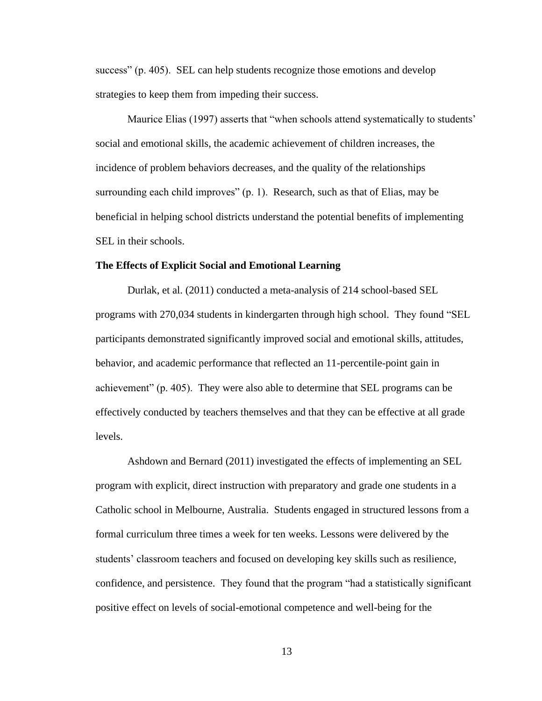success" (p. 405). SEL can help students recognize those emotions and develop strategies to keep them from impeding their success.

Maurice Elias (1997) asserts that "when schools attend systematically to students' social and emotional skills, the academic achievement of children increases, the incidence of problem behaviors decreases, and the quality of the relationships surrounding each child improves" (p. 1). Research, such as that of Elias, may be beneficial in helping school districts understand the potential benefits of implementing SEL in their schools.

#### **The Effects of Explicit Social and Emotional Learning**

Durlak, et al. (2011) conducted a meta-analysis of 214 school-based SEL programs with 270,034 students in kindergarten through high school. They found "SEL participants demonstrated significantly improved social and emotional skills, attitudes, behavior, and academic performance that reflected an 11-percentile-point gain in achievement" (p. 405). They were also able to determine that SEL programs can be effectively conducted by teachers themselves and that they can be effective at all grade levels.

Ashdown and Bernard (2011) investigated the effects of implementing an SEL program with explicit, direct instruction with preparatory and grade one students in a Catholic school in Melbourne, Australia. Students engaged in structured lessons from a formal curriculum three times a week for ten weeks. Lessons were delivered by the students' classroom teachers and focused on developing key skills such as resilience, confidence, and persistence. They found that the program "had a statistically significant positive effect on levels of social-emotional competence and well-being for the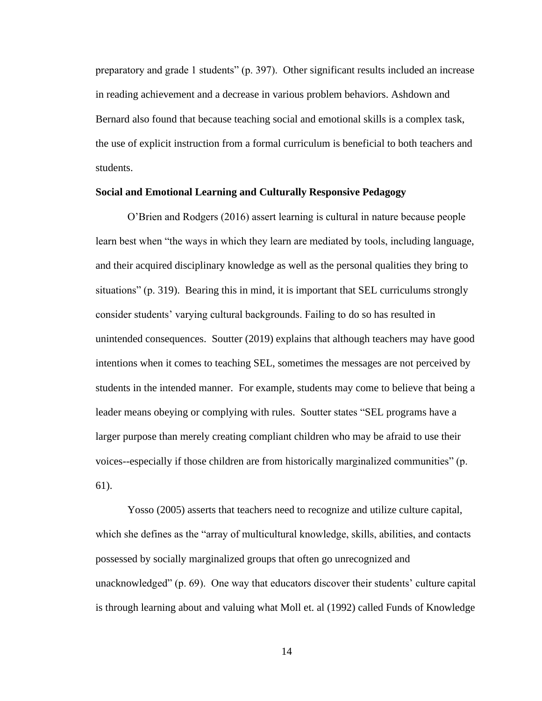preparatory and grade 1 students" (p. 397). Other significant results included an increase in reading achievement and a decrease in various problem behaviors. Ashdown and Bernard also found that because teaching social and emotional skills is a complex task, the use of explicit instruction from a formal curriculum is beneficial to both teachers and students.

# **Social and Emotional Learning and Culturally Responsive Pedagogy**

O'Brien and Rodgers (2016) assert learning is cultural in nature because people learn best when "the ways in which they learn are mediated by tools, including language, and their acquired disciplinary knowledge as well as the personal qualities they bring to situations" (p. 319). Bearing this in mind, it is important that SEL curriculums strongly consider students' varying cultural backgrounds. Failing to do so has resulted in unintended consequences. Soutter (2019) explains that although teachers may have good intentions when it comes to teaching SEL, sometimes the messages are not perceived by students in the intended manner. For example, students may come to believe that being a leader means obeying or complying with rules. Soutter states "SEL programs have a larger purpose than merely creating compliant children who may be afraid to use their voices--especially if those children are from historically marginalized communities" (p. 61).

Yosso (2005) asserts that teachers need to recognize and utilize culture capital, which she defines as the "array of multicultural knowledge, skills, abilities, and contacts possessed by socially marginalized groups that often go unrecognized and unacknowledged" (p. 69). One way that educators discover their students' culture capital is through learning about and valuing what Moll et. al (1992) called Funds of Knowledge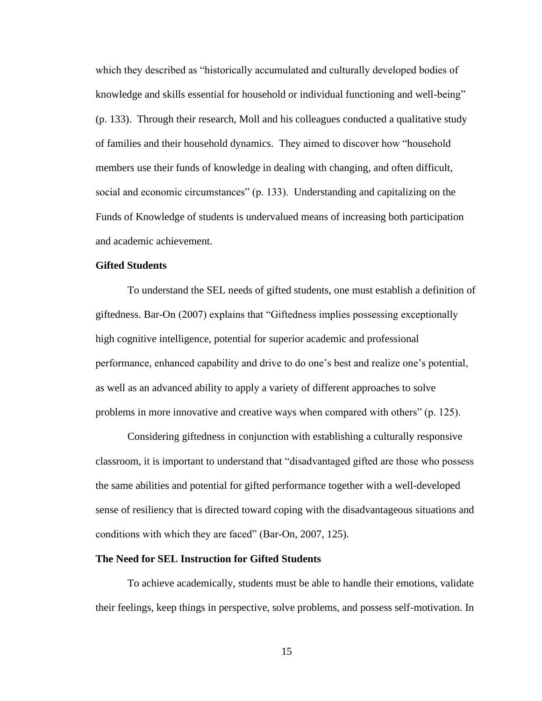which they described as "historically accumulated and culturally developed bodies of knowledge and skills essential for household or individual functioning and well-being" (p. 133). Through their research, Moll and his colleagues conducted a qualitative study of families and their household dynamics. They aimed to discover how "household members use their funds of knowledge in dealing with changing, and often difficult, social and economic circumstances" (p. 133). Understanding and capitalizing on the Funds of Knowledge of students is undervalued means of increasing both participation and academic achievement.

# **Gifted Students**

To understand the SEL needs of gifted students, one must establish a definition of giftedness. Bar-On (2007) explains that "Giftedness implies possessing exceptionally high cognitive intelligence, potential for superior academic and professional performance, enhanced capability and drive to do one's best and realize one's potential, as well as an advanced ability to apply a variety of different approaches to solve problems in more innovative and creative ways when compared with others" (p. 125).

Considering giftedness in conjunction with establishing a culturally responsive classroom, it is important to understand that "disadvantaged gifted are those who possess the same abilities and potential for gifted performance together with a well-developed sense of resiliency that is directed toward coping with the disadvantageous situations and conditions with which they are faced" (Bar-On, 2007, 125).

# **The Need for SEL Instruction for Gifted Students**

To achieve academically, students must be able to handle their emotions, validate their feelings, keep things in perspective, solve problems, and possess self-motivation. In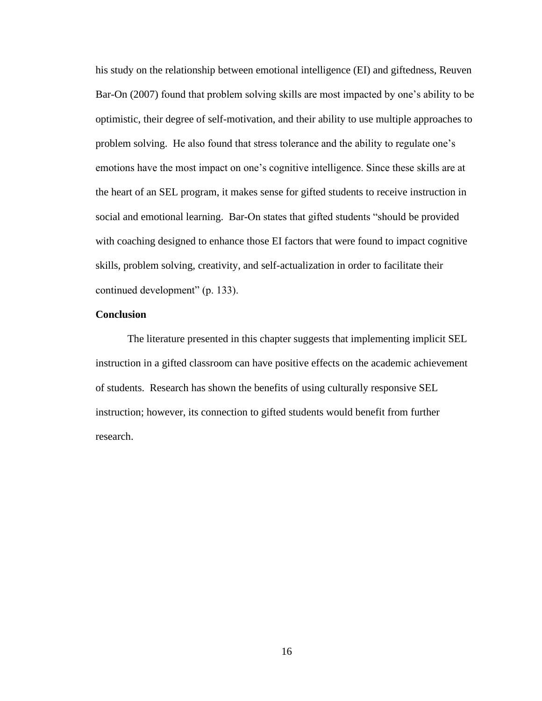his study on the relationship between emotional intelligence (EI) and giftedness, Reuven Bar-On (2007) found that problem solving skills are most impacted by one's ability to be optimistic, their degree of self-motivation, and their ability to use multiple approaches to problem solving. He also found that stress tolerance and the ability to regulate one's emotions have the most impact on one's cognitive intelligence. Since these skills are at the heart of an SEL program, it makes sense for gifted students to receive instruction in social and emotional learning. Bar-On states that gifted students "should be provided with coaching designed to enhance those EI factors that were found to impact cognitive skills, problem solving, creativity, and self-actualization in order to facilitate their continued development" (p. 133).

# **Conclusion**

The literature presented in this chapter suggests that implementing implicit SEL instruction in a gifted classroom can have positive effects on the academic achievement of students. Research has shown the benefits of using culturally responsive SEL instruction; however, its connection to gifted students would benefit from further research.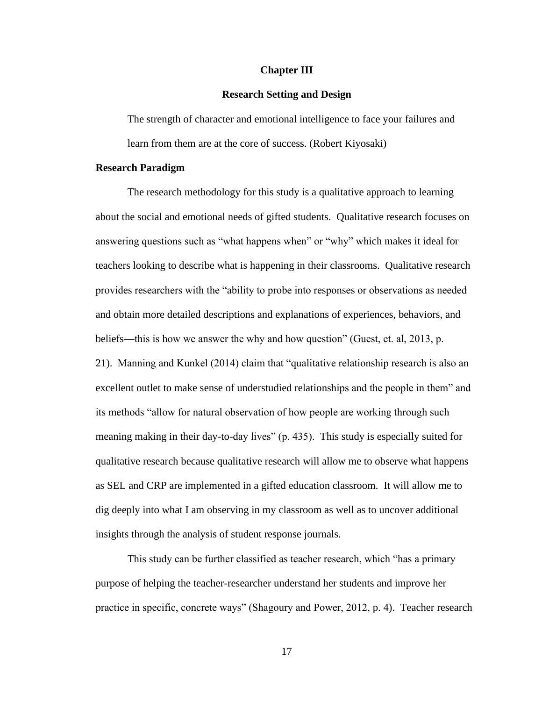#### **Chapter III**

# **Research Setting and Design**

The strength of character and emotional intelligence to face your failures and learn from them are at the core of success. (Robert Kiyosaki)

#### **Research Paradigm**

The research methodology for this study is a qualitative approach to learning about the social and emotional needs of gifted students. Qualitative research focuses on answering questions such as "what happens when" or "why" which makes it ideal for teachers looking to describe what is happening in their classrooms. Qualitative research provides researchers with the "ability to probe into responses or observations as needed and obtain more detailed descriptions and explanations of experiences, behaviors, and beliefs—this is how we answer the why and how question" (Guest, et. al, 2013, p. 21). Manning and Kunkel (2014) claim that "qualitative relationship research is also an excellent outlet to make sense of understudied relationships and the people in them" and its methods "allow for natural observation of how people are working through such meaning making in their day-to-day lives" (p. 435). This study is especially suited for qualitative research because qualitative research will allow me to observe what happens as SEL and CRP are implemented in a gifted education classroom. It will allow me to dig deeply into what I am observing in my classroom as well as to uncover additional insights through the analysis of student response journals.

This study can be further classified as teacher research, which "has a primary purpose of helping the teacher-researcher understand her students and improve her practice in specific, concrete ways" (Shagoury and Power, 2012, p. 4). Teacher research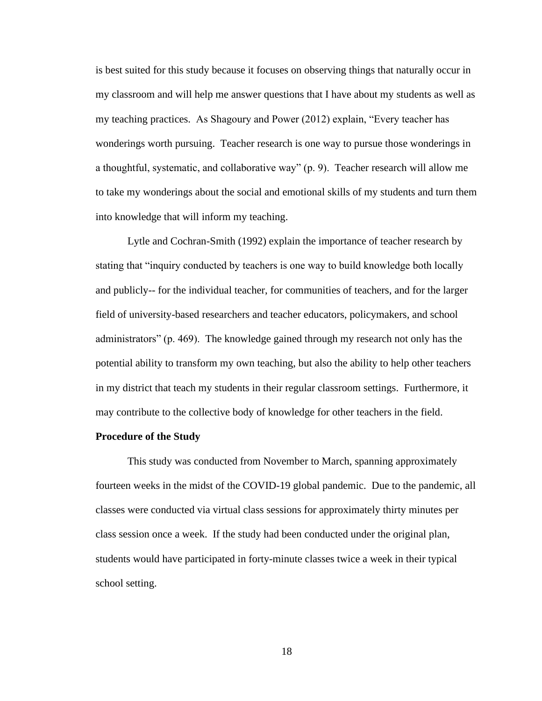is best suited for this study because it focuses on observing things that naturally occur in my classroom and will help me answer questions that I have about my students as well as my teaching practices. As Shagoury and Power (2012) explain, "Every teacher has wonderings worth pursuing. Teacher research is one way to pursue those wonderings in a thoughtful, systematic, and collaborative way" (p. 9). Teacher research will allow me to take my wonderings about the social and emotional skills of my students and turn them into knowledge that will inform my teaching.

Lytle and Cochran-Smith (1992) explain the importance of teacher research by stating that "inquiry conducted by teachers is one way to build knowledge both locally and publicly-- for the individual teacher, for communities of teachers, and for the larger field of university-based researchers and teacher educators, policymakers, and school administrators" (p. 469). The knowledge gained through my research not only has the potential ability to transform my own teaching, but also the ability to help other teachers in my district that teach my students in their regular classroom settings. Furthermore, it may contribute to the collective body of knowledge for other teachers in the field.

# **Procedure of the Study**

This study was conducted from November to March, spanning approximately fourteen weeks in the midst of the COVID-19 global pandemic. Due to the pandemic, all classes were conducted via virtual class sessions for approximately thirty minutes per class session once a week. If the study had been conducted under the original plan, students would have participated in forty-minute classes twice a week in their typical school setting.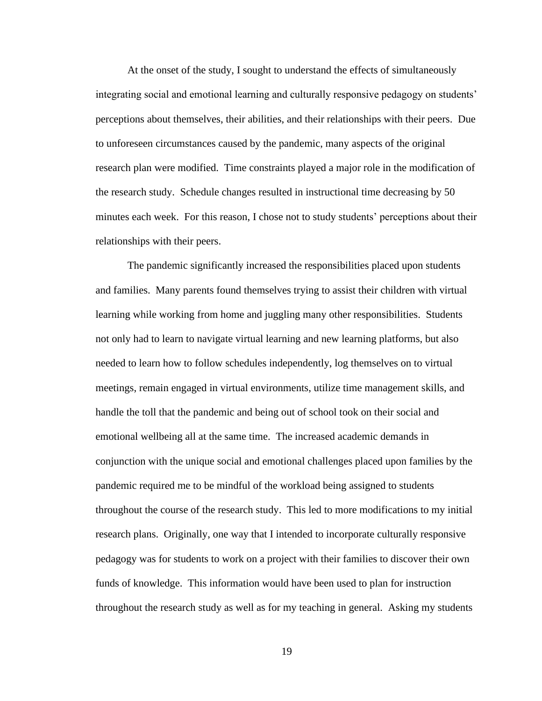At the onset of the study, I sought to understand the effects of simultaneously integrating social and emotional learning and culturally responsive pedagogy on students' perceptions about themselves, their abilities, and their relationships with their peers. Due to unforeseen circumstances caused by the pandemic, many aspects of the original research plan were modified. Time constraints played a major role in the modification of the research study. Schedule changes resulted in instructional time decreasing by 50 minutes each week. For this reason, I chose not to study students' perceptions about their relationships with their peers.

The pandemic significantly increased the responsibilities placed upon students and families. Many parents found themselves trying to assist their children with virtual learning while working from home and juggling many other responsibilities. Students not only had to learn to navigate virtual learning and new learning platforms, but also needed to learn how to follow schedules independently, log themselves on to virtual meetings, remain engaged in virtual environments, utilize time management skills, and handle the toll that the pandemic and being out of school took on their social and emotional wellbeing all at the same time. The increased academic demands in conjunction with the unique social and emotional challenges placed upon families by the pandemic required me to be mindful of the workload being assigned to students throughout the course of the research study. This led to more modifications to my initial research plans. Originally, one way that I intended to incorporate culturally responsive pedagogy was for students to work on a project with their families to discover their own funds of knowledge. This information would have been used to plan for instruction throughout the research study as well as for my teaching in general. Asking my students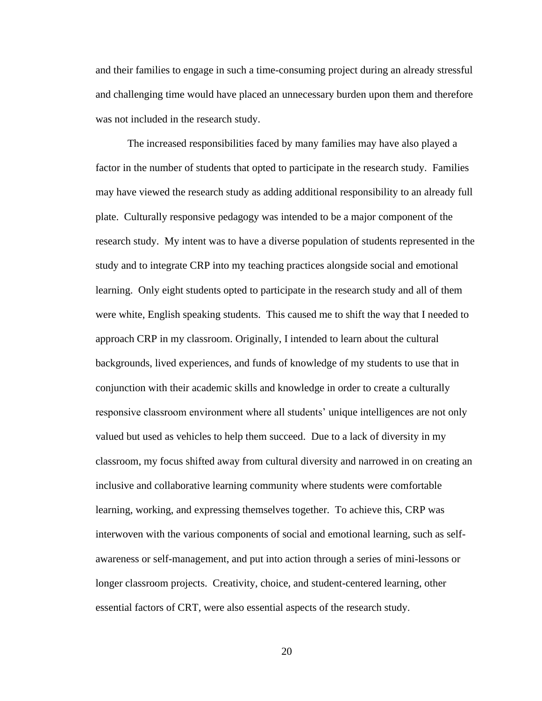and their families to engage in such a time-consuming project during an already stressful and challenging time would have placed an unnecessary burden upon them and therefore was not included in the research study.

The increased responsibilities faced by many families may have also played a factor in the number of students that opted to participate in the research study. Families may have viewed the research study as adding additional responsibility to an already full plate. Culturally responsive pedagogy was intended to be a major component of the research study. My intent was to have a diverse population of students represented in the study and to integrate CRP into my teaching practices alongside social and emotional learning. Only eight students opted to participate in the research study and all of them were white, English speaking students. This caused me to shift the way that I needed to approach CRP in my classroom. Originally, I intended to learn about the cultural backgrounds, lived experiences, and funds of knowledge of my students to use that in conjunction with their academic skills and knowledge in order to create a culturally responsive classroom environment where all students' unique intelligences are not only valued but used as vehicles to help them succeed. Due to a lack of diversity in my classroom, my focus shifted away from cultural diversity and narrowed in on creating an inclusive and collaborative learning community where students were comfortable learning, working, and expressing themselves together. To achieve this, CRP was interwoven with the various components of social and emotional learning, such as selfawareness or self-management, and put into action through a series of mini-lessons or longer classroom projects. Creativity, choice, and student-centered learning, other essential factors of CRT, were also essential aspects of the research study.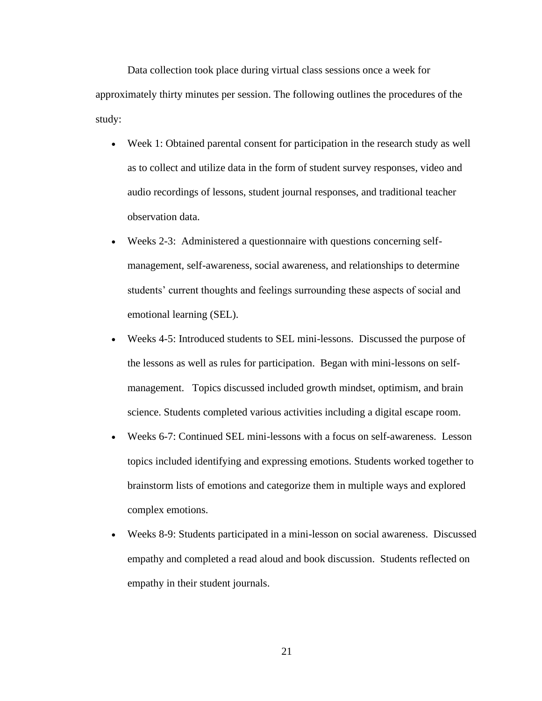Data collection took place during virtual class sessions once a week for approximately thirty minutes per session. The following outlines the procedures of the study:

- Week 1: Obtained parental consent for participation in the research study as well as to collect and utilize data in the form of student survey responses, video and audio recordings of lessons, student journal responses, and traditional teacher observation data.
- Weeks 2-3: Administered a questionnaire with questions concerning selfmanagement, self-awareness, social awareness, and relationships to determine students' current thoughts and feelings surrounding these aspects of social and emotional learning (SEL).
- Weeks 4-5: Introduced students to SEL mini-lessons. Discussed the purpose of the lessons as well as rules for participation. Began with mini-lessons on selfmanagement. Topics discussed included growth mindset, optimism, and brain science. Students completed various activities including a digital escape room.
- Weeks 6-7: Continued SEL mini-lessons with a focus on self-awareness. Lesson topics included identifying and expressing emotions. Students worked together to brainstorm lists of emotions and categorize them in multiple ways and explored complex emotions.
- Weeks 8-9: Students participated in a mini-lesson on social awareness. Discussed empathy and completed a read aloud and book discussion. Students reflected on empathy in their student journals.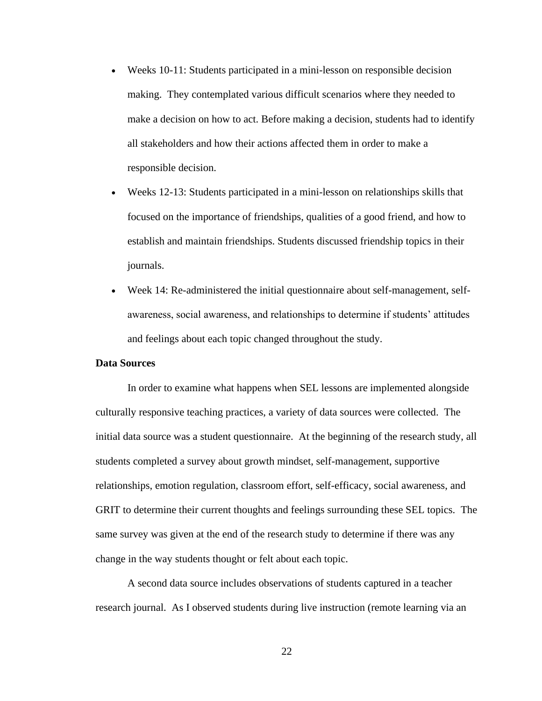- Weeks 10-11: Students participated in a mini-lesson on responsible decision making. They contemplated various difficult scenarios where they needed to make a decision on how to act. Before making a decision, students had to identify all stakeholders and how their actions affected them in order to make a responsible decision.
- Weeks 12-13: Students participated in a mini-lesson on relationships skills that focused on the importance of friendships, qualities of a good friend, and how to establish and maintain friendships. Students discussed friendship topics in their journals.
- Week 14: Re-administered the initial questionnaire about self-management, selfawareness, social awareness, and relationships to determine if students' attitudes and feelings about each topic changed throughout the study.

# **Data Sources**

In order to examine what happens when SEL lessons are implemented alongside culturally responsive teaching practices, a variety of data sources were collected. The initial data source was a student questionnaire. At the beginning of the research study, all students completed a survey about growth mindset, self-management, supportive relationships, emotion regulation, classroom effort, self-efficacy, social awareness, and GRIT to determine their current thoughts and feelings surrounding these SEL topics. The same survey was given at the end of the research study to determine if there was any change in the way students thought or felt about each topic.

A second data source includes observations of students captured in a teacher research journal. As I observed students during live instruction (remote learning via an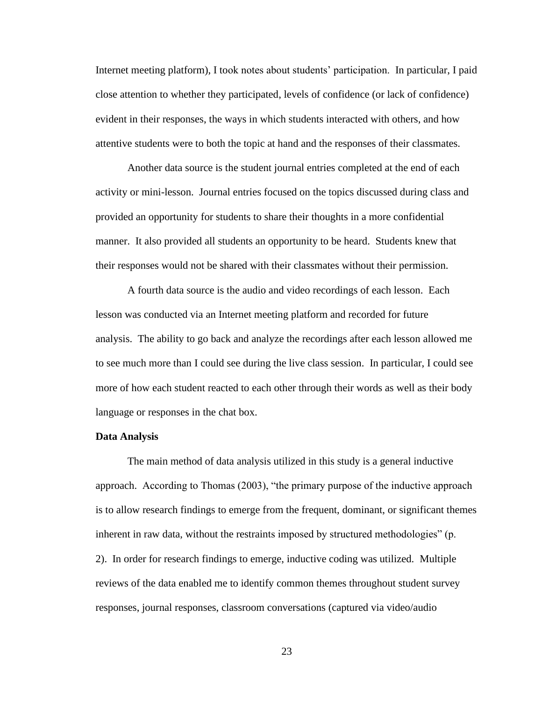Internet meeting platform), I took notes about students' participation. In particular, I paid close attention to whether they participated, levels of confidence (or lack of confidence) evident in their responses, the ways in which students interacted with others, and how attentive students were to both the topic at hand and the responses of their classmates.

Another data source is the student journal entries completed at the end of each activity or mini-lesson. Journal entries focused on the topics discussed during class and provided an opportunity for students to share their thoughts in a more confidential manner. It also provided all students an opportunity to be heard. Students knew that their responses would not be shared with their classmates without their permission.

A fourth data source is the audio and video recordings of each lesson. Each lesson was conducted via an Internet meeting platform and recorded for future analysis. The ability to go back and analyze the recordings after each lesson allowed me to see much more than I could see during the live class session. In particular, I could see more of how each student reacted to each other through their words as well as their body language or responses in the chat box.

#### **Data Analysis**

The main method of data analysis utilized in this study is a general inductive approach. According to Thomas (2003), "the primary purpose of the inductive approach is to allow research findings to emerge from the frequent, dominant, or significant themes inherent in raw data, without the restraints imposed by structured methodologies" (p. 2). In order for research findings to emerge, inductive coding was utilized. Multiple reviews of the data enabled me to identify common themes throughout student survey responses, journal responses, classroom conversations (captured via video/audio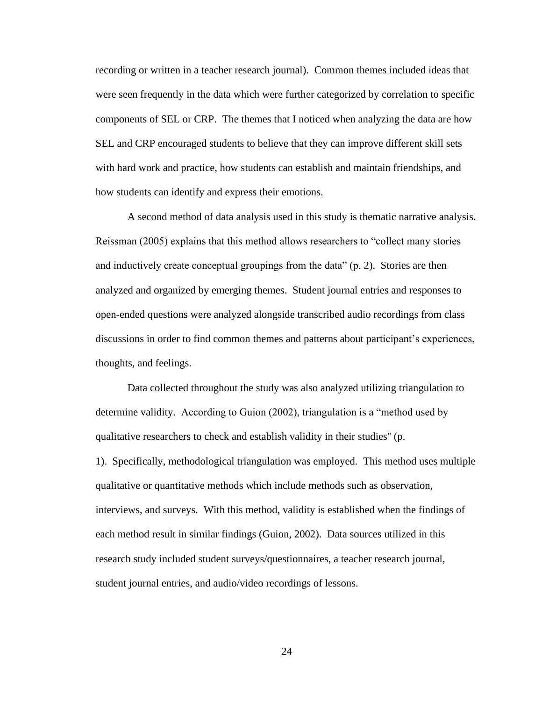recording or written in a teacher research journal). Common themes included ideas that were seen frequently in the data which were further categorized by correlation to specific components of SEL or CRP. The themes that I noticed when analyzing the data are how SEL and CRP encouraged students to believe that they can improve different skill sets with hard work and practice, how students can establish and maintain friendships, and how students can identify and express their emotions.

A second method of data analysis used in this study is thematic narrative analysis. Reissman (2005) explains that this method allows researchers to "collect many stories and inductively create conceptual groupings from the data" (p. 2). Stories are then analyzed and organized by emerging themes. Student journal entries and responses to open-ended questions were analyzed alongside transcribed audio recordings from class discussions in order to find common themes and patterns about participant's experiences, thoughts, and feelings.

Data collected throughout the study was also analyzed utilizing triangulation to determine validity. According to Guion (2002), triangulation is a "method used by qualitative researchers to check and establish validity in their studies'' (p. 1). Specifically, methodological triangulation was employed. This method uses multiple qualitative or quantitative methods which include methods such as observation, interviews, and surveys. With this method, validity is established when the findings of each method result in similar findings (Guion, 2002). Data sources utilized in this research study included student surveys/questionnaires, a teacher research journal, student journal entries, and audio/video recordings of lessons.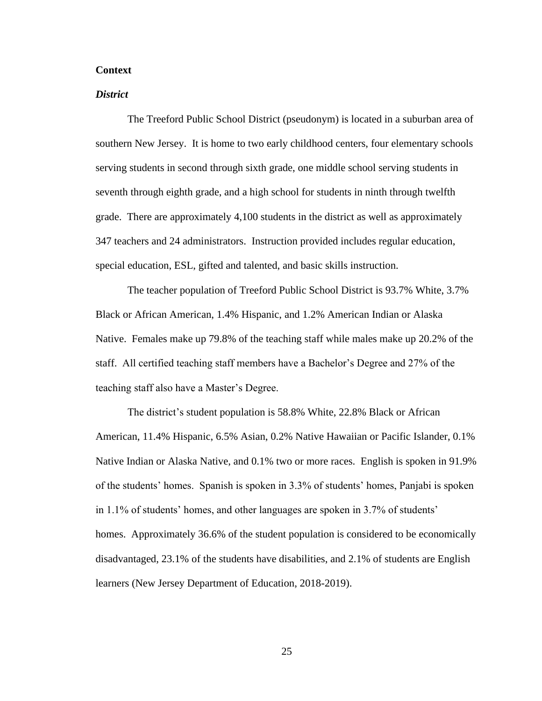# **Context**

### *District*

The Treeford Public School District (pseudonym) is located in a suburban area of southern New Jersey. It is home to two early childhood centers, four elementary schools serving students in second through sixth grade, one middle school serving students in seventh through eighth grade, and a high school for students in ninth through twelfth grade. There are approximately 4,100 students in the district as well as approximately 347 teachers and 24 administrators. Instruction provided includes regular education, special education, ESL, gifted and talented, and basic skills instruction.

The teacher population of Treeford Public School District is 93.7% White, 3.7% Black or African American, 1.4% Hispanic, and 1.2% American Indian or Alaska Native. Females make up 79.8% of the teaching staff while males make up 20.2% of the staff. All certified teaching staff members have a Bachelor's Degree and 27% of the teaching staff also have a Master's Degree.

The district's student population is 58.8% White, 22.8% Black or African American, 11.4% Hispanic, 6.5% Asian, 0.2% Native Hawaiian or Pacific Islander, 0.1% Native Indian or Alaska Native, and 0.1% two or more races. English is spoken in 91.9% of the students' homes. Spanish is spoken in 3.3% of students' homes, Panjabi is spoken in 1.1% of students' homes, and other languages are spoken in 3.7% of students' homes. Approximately 36.6% of the student population is considered to be economically disadvantaged, 23.1% of the students have disabilities, and 2.1% of students are English learners (New Jersey Department of Education, 2018-2019).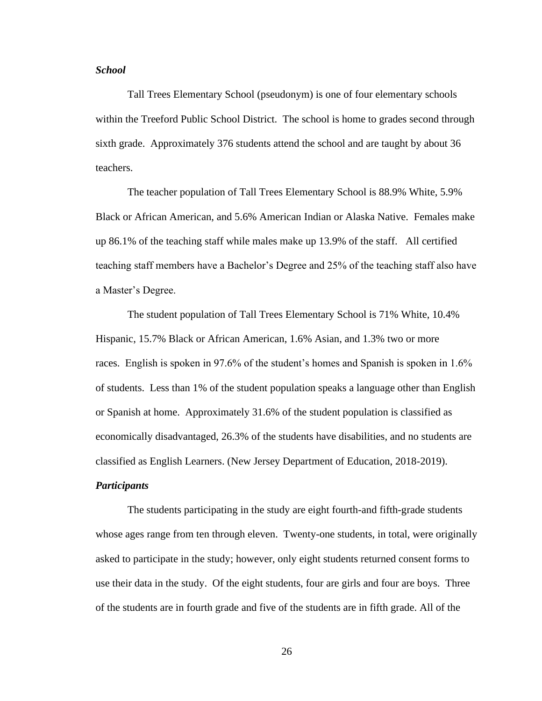# *School*

Tall Trees Elementary School (pseudonym) is one of four elementary schools within the Treeford Public School District. The school is home to grades second through sixth grade. Approximately 376 students attend the school and are taught by about 36 teachers.

The teacher population of Tall Trees Elementary School is 88.9% White, 5.9% Black or African American, and 5.6% American Indian or Alaska Native. Females make up 86.1% of the teaching staff while males make up 13.9% of the staff. All certified teaching staff members have a Bachelor's Degree and 25% of the teaching staff also have a Master's Degree.

The student population of Tall Trees Elementary School is 71% White, 10.4% Hispanic, 15.7% Black or African American, 1.6% Asian, and 1.3% two or more races. English is spoken in 97.6% of the student's homes and Spanish is spoken in 1.6% of students. Less than 1% of the student population speaks a language other than English or Spanish at home. Approximately 31.6% of the student population is classified as economically disadvantaged, 26.3% of the students have disabilities, and no students are classified as English Learners. (New Jersey Department of Education, 2018-2019).

# *Participants*

The students participating in the study are eight fourth-and fifth-grade students whose ages range from ten through eleven. Twenty-one students, in total, were originally asked to participate in the study; however, only eight students returned consent forms to use their data in the study. Of the eight students, four are girls and four are boys. Three of the students are in fourth grade and five of the students are in fifth grade. All of the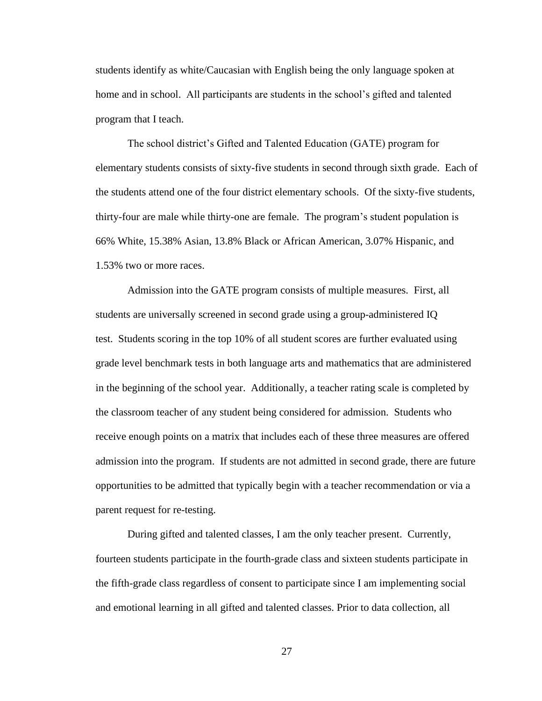students identify as white/Caucasian with English being the only language spoken at home and in school. All participants are students in the school's gifted and talented program that I teach.

The school district's Gifted and Talented Education (GATE) program for elementary students consists of sixty-five students in second through sixth grade. Each of the students attend one of the four district elementary schools. Of the sixty-five students, thirty-four are male while thirty-one are female. The program's student population is 66% White, 15.38% Asian, 13.8% Black or African American, 3.07% Hispanic, and 1.53% two or more races.

Admission into the GATE program consists of multiple measures. First, all students are universally screened in second grade using a group-administered IQ test. Students scoring in the top 10% of all student scores are further evaluated using grade level benchmark tests in both language arts and mathematics that are administered in the beginning of the school year. Additionally, a teacher rating scale is completed by the classroom teacher of any student being considered for admission. Students who receive enough points on a matrix that includes each of these three measures are offered admission into the program. If students are not admitted in second grade, there are future opportunities to be admitted that typically begin with a teacher recommendation or via a parent request for re-testing.

During gifted and talented classes, I am the only teacher present. Currently, fourteen students participate in the fourth-grade class and sixteen students participate in the fifth-grade class regardless of consent to participate since I am implementing social and emotional learning in all gifted and talented classes. Prior to data collection, all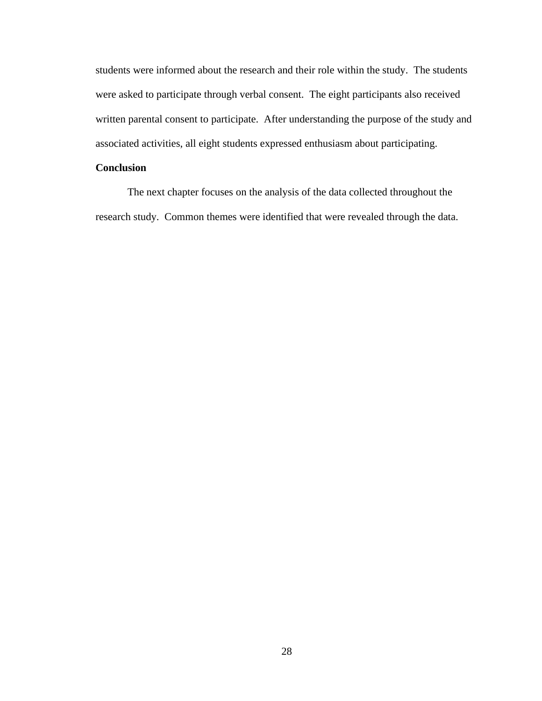students were informed about the research and their role within the study. The students were asked to participate through verbal consent. The eight participants also received written parental consent to participate. After understanding the purpose of the study and associated activities, all eight students expressed enthusiasm about participating.

# **Conclusion**

The next chapter focuses on the analysis of the data collected throughout the research study. Common themes were identified that were revealed through the data.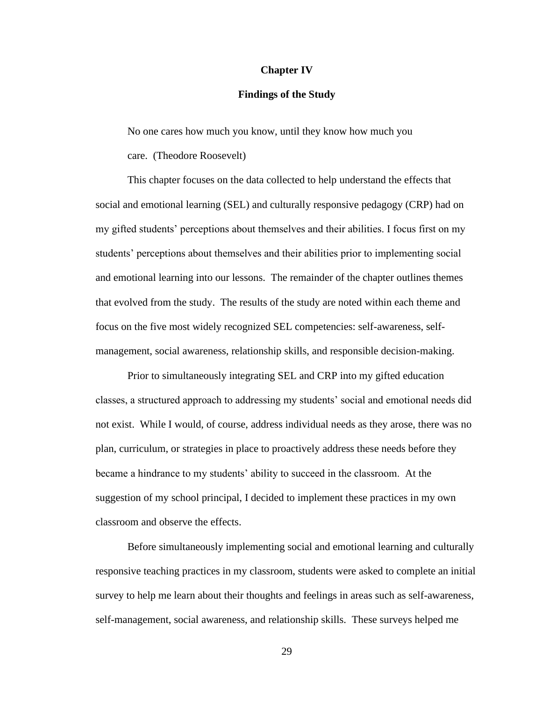# **Chapter IV**

# **Findings of the Study**

No one cares how much you know, until they know how much you

care. (Theodore Roosevelt)

This chapter focuses on the data collected to help understand the effects that social and emotional learning (SEL) and culturally responsive pedagogy (CRP) had on my gifted students' perceptions about themselves and their abilities. I focus first on my students' perceptions about themselves and their abilities prior to implementing social and emotional learning into our lessons. The remainder of the chapter outlines themes that evolved from the study. The results of the study are noted within each theme and focus on the five most widely recognized SEL competencies: self-awareness, selfmanagement, social awareness, relationship skills, and responsible decision-making.

Prior to simultaneously integrating SEL and CRP into my gifted education classes, a structured approach to addressing my students' social and emotional needs did not exist. While I would, of course, address individual needs as they arose, there was no plan, curriculum, or strategies in place to proactively address these needs before they became a hindrance to my students' ability to succeed in the classroom. At the suggestion of my school principal, I decided to implement these practices in my own classroom and observe the effects.

Before simultaneously implementing social and emotional learning and culturally responsive teaching practices in my classroom, students were asked to complete an initial survey to help me learn about their thoughts and feelings in areas such as self-awareness, self-management, social awareness, and relationship skills. These surveys helped me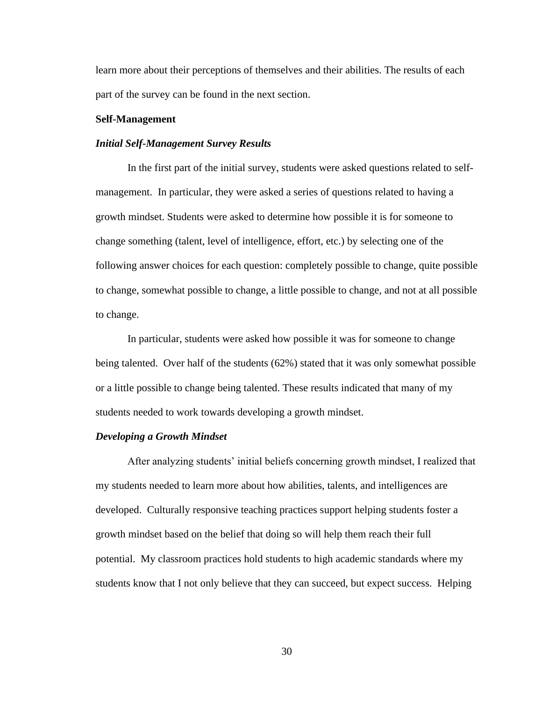learn more about their perceptions of themselves and their abilities. The results of each part of the survey can be found in the next section.

#### **Self-Management**

#### *Initial Self-Management Survey Results*

In the first part of the initial survey, students were asked questions related to selfmanagement. In particular, they were asked a series of questions related to having a growth mindset. Students were asked to determine how possible it is for someone to change something (talent, level of intelligence, effort, etc.) by selecting one of the following answer choices for each question: completely possible to change, quite possible to change, somewhat possible to change, a little possible to change, and not at all possible to change.

In particular, students were asked how possible it was for someone to change being talented. Over half of the students (62%) stated that it was only somewhat possible or a little possible to change being talented. These results indicated that many of my students needed to work towards developing a growth mindset.

#### *Developing a Growth Mindset*

After analyzing students' initial beliefs concerning growth mindset, I realized that my students needed to learn more about how abilities, talents, and intelligences are developed. Culturally responsive teaching practices support helping students foster a growth mindset based on the belief that doing so will help them reach their full potential. My classroom practices hold students to high academic standards where my students know that I not only believe that they can succeed, but expect success. Helping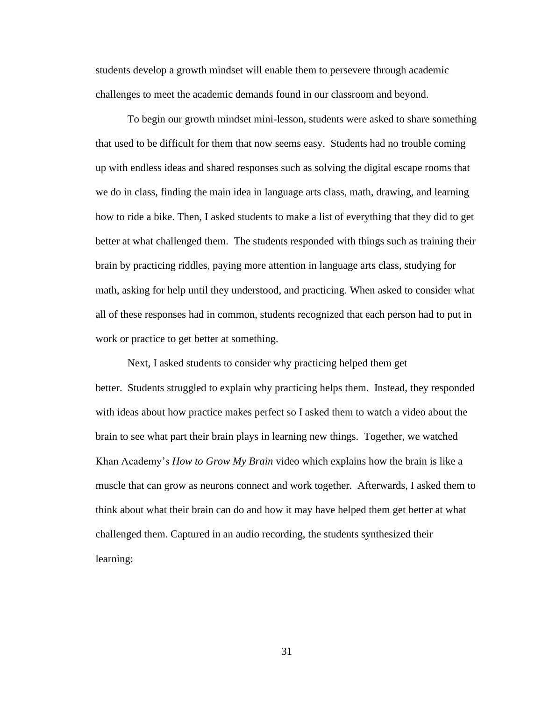students develop a growth mindset will enable them to persevere through academic challenges to meet the academic demands found in our classroom and beyond.

To begin our growth mindset mini-lesson, students were asked to share something that used to be difficult for them that now seems easy. Students had no trouble coming up with endless ideas and shared responses such as solving the digital escape rooms that we do in class, finding the main idea in language arts class, math, drawing, and learning how to ride a bike. Then, I asked students to make a list of everything that they did to get better at what challenged them. The students responded with things such as training their brain by practicing riddles, paying more attention in language arts class, studying for math, asking for help until they understood, and practicing. When asked to consider what all of these responses had in common, students recognized that each person had to put in work or practice to get better at something.

Next, I asked students to consider why practicing helped them get better. Students struggled to explain why practicing helps them. Instead, they responded with ideas about how practice makes perfect so I asked them to watch a video about the brain to see what part their brain plays in learning new things. Together, we watched Khan Academy's *How to Grow My Brain* video which explains how the brain is like a muscle that can grow as neurons connect and work together. Afterwards, I asked them to think about what their brain can do and how it may have helped them get better at what challenged them. Captured in an audio recording, the students synthesized their learning: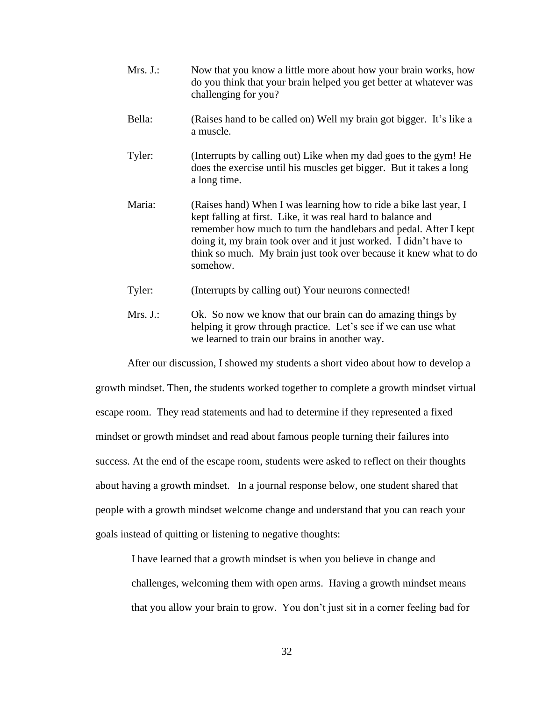| Mrs. J.: | Now that you know a little more about how your brain works, how<br>do you think that your brain helped you get better at whatever was<br>challenging for you?                                                                                                                                                                                               |
|----------|-------------------------------------------------------------------------------------------------------------------------------------------------------------------------------------------------------------------------------------------------------------------------------------------------------------------------------------------------------------|
| Bella:   | (Raises hand to be called on) Well my brain got bigger. It's like a<br>a muscle.                                                                                                                                                                                                                                                                            |
| Tyler:   | (Interrupts by calling out) Like when my dad goes to the gym! He<br>does the exercise until his muscles get bigger. But it takes a long<br>a long time.                                                                                                                                                                                                     |
| Maria:   | (Raises hand) When I was learning how to ride a bike last year, I<br>kept falling at first. Like, it was real hard to balance and<br>remember how much to turn the handlebars and pedal. After I kept<br>doing it, my brain took over and it just worked. I didn't have to<br>think so much. My brain just took over because it knew what to do<br>somehow. |
| Tyler:   | (Interrupts by calling out) Your neurons connected!                                                                                                                                                                                                                                                                                                         |

Mrs. J.: Ok. So now we know that our brain can do amazing things by helping it grow through practice. Let's see if we can use what we learned to train our brains in another way.

After our discussion, I showed my students a short video about how to develop a growth mindset. Then, the students worked together to complete a growth mindset virtual escape room. They read statements and had to determine if they represented a fixed mindset or growth mindset and read about famous people turning their failures into success. At the end of the escape room, students were asked to reflect on their thoughts about having a growth mindset. In a journal response below, one student shared that people with a growth mindset welcome change and understand that you can reach your goals instead of quitting or listening to negative thoughts:

I have learned that a growth mindset is when you believe in change and

challenges, welcoming them with open arms. Having a growth mindset means that you allow your brain to grow. You don't just sit in a corner feeling bad for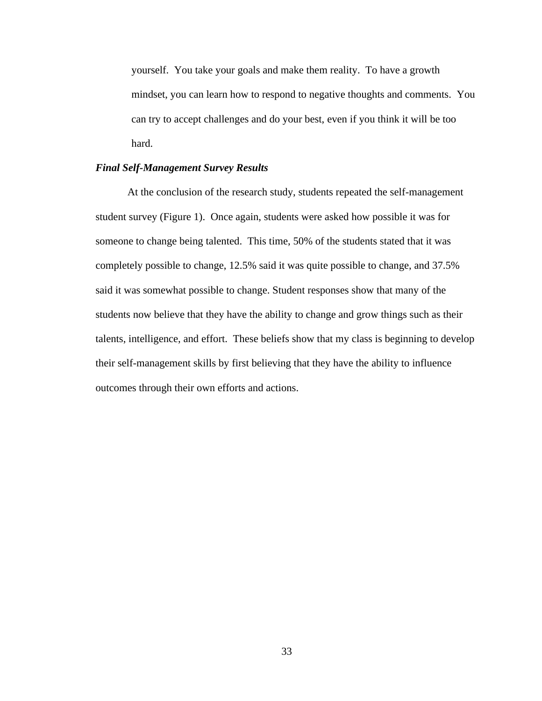yourself. You take your goals and make them reality. To have a growth mindset, you can learn how to respond to negative thoughts and comments. You can try to accept challenges and do your best, even if you think it will be too hard.

# *Final Self-Management Survey Results*

At the conclusion of the research study, students repeated the self-management student survey (Figure 1). Once again, students were asked how possible it was for someone to change being talented. This time, 50% of the students stated that it was completely possible to change, 12.5% said it was quite possible to change, and 37.5% said it was somewhat possible to change. Student responses show that many of the students now believe that they have the ability to change and grow things such as their talents, intelligence, and effort. These beliefs show that my class is beginning to develop their self-management skills by first believing that they have the ability to influence outcomes through their own efforts and actions.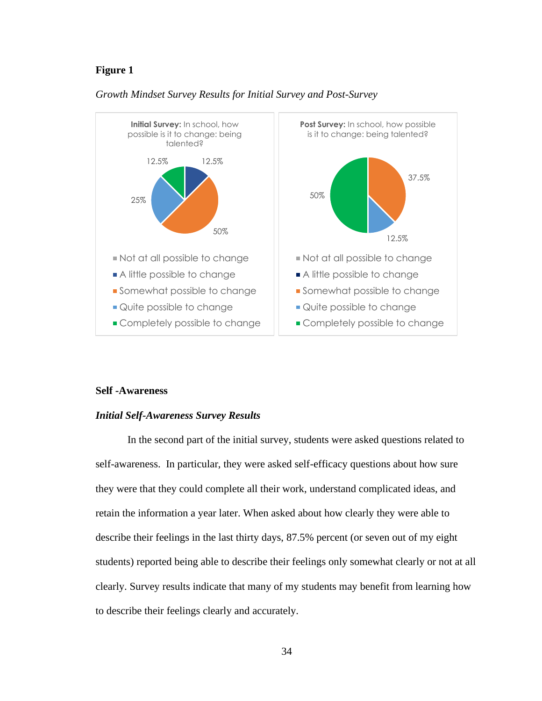# **Figure 1**



# *Growth Mindset Survey Results for Initial Survey and Post-Survey*

#### **Self -Awareness**

# *Initial Self-Awareness Survey Results*

In the second part of the initial survey, students were asked questions related to self-awareness. In particular, they were asked self-efficacy questions about how sure they were that they could complete all their work, understand complicated ideas, and retain the information a year later. When asked about how clearly they were able to describe their feelings in the last thirty days, 87.5% percent (or seven out of my eight students) reported being able to describe their feelings only somewhat clearly or not at all clearly. Survey results indicate that many of my students may benefit from learning how to describe their feelings clearly and accurately.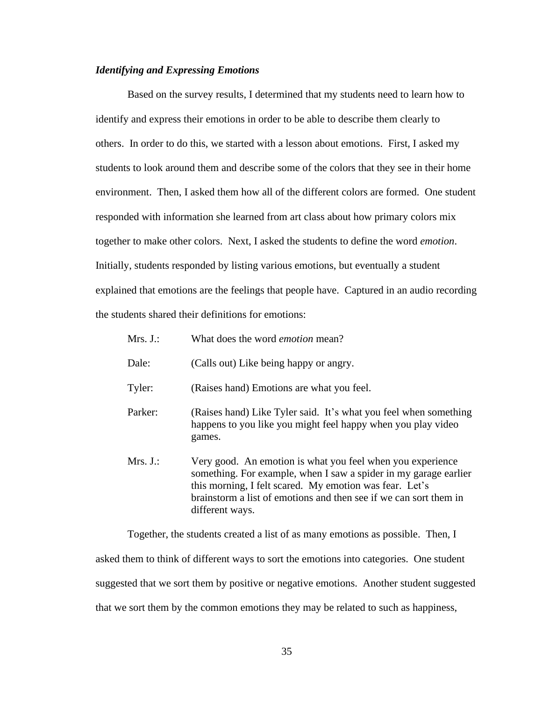# *Identifying and Expressing Emotions*

Based on the survey results, I determined that my students need to learn how to identify and express their emotions in order to be able to describe them clearly to others. In order to do this, we started with a lesson about emotions. First, I asked my students to look around them and describe some of the colors that they see in their home environment. Then, I asked them how all of the different colors are formed. One student responded with information she learned from art class about how primary colors mix together to make other colors. Next, I asked the students to define the word *emotion*. Initially, students responded by listing various emotions, but eventually a student explained that emotions are the feelings that people have. Captured in an audio recording the students shared their definitions for emotions:

| Mrs. J.: | What does the word <i>emotion</i> mean?                                                                                                                                                                                                                                           |
|----------|-----------------------------------------------------------------------------------------------------------------------------------------------------------------------------------------------------------------------------------------------------------------------------------|
| Dale:    | (Calls out) Like being happy or angry.                                                                                                                                                                                                                                            |
| Tyler:   | (Raises hand) Emotions are what you feel.                                                                                                                                                                                                                                         |
| Parker:  | (Raises hand) Like Tyler said. It's what you feel when something<br>happens to you like you might feel happy when you play video<br>games.                                                                                                                                        |
| Mrs. J.: | Very good. An emotion is what you feel when you experience<br>something. For example, when I saw a spider in my garage earlier<br>this morning, I felt scared. My emotion was fear. Let's<br>brainstorm a list of emotions and then see if we can sort them in<br>different ways. |

Together, the students created a list of as many emotions as possible. Then, I asked them to think of different ways to sort the emotions into categories. One student suggested that we sort them by positive or negative emotions. Another student suggested that we sort them by the common emotions they may be related to such as happiness,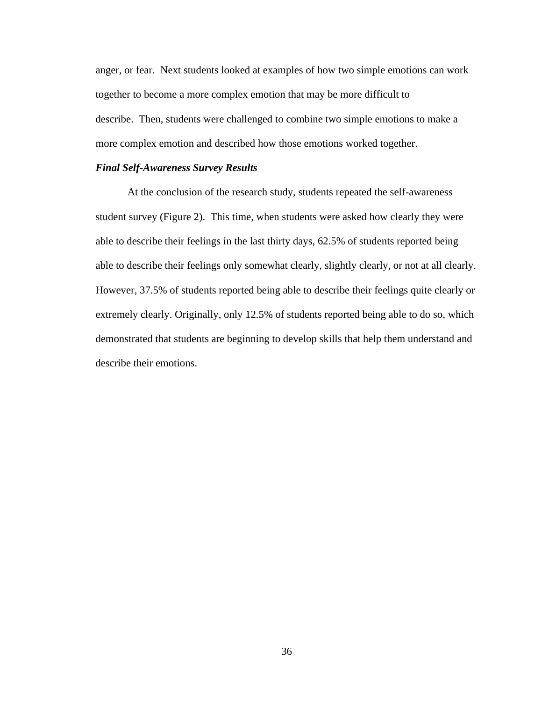anger, or fear. Next students looked at examples of how two simple emotions can work together to become a more complex emotion that may be more difficult to describe. Then, students were challenged to combine two simple emotions to make a more complex emotion and described how those emotions worked together.

# *Final Self-Awareness Survey Results*

At the conclusion of the research study, students repeated the self-awareness student survey (Figure 2). This time, when students were asked how clearly they were able to describe their feelings in the last thirty days, 62.5% of students reported being able to describe their feelings only somewhat clearly, slightly clearly, or not at all clearly. However, 37.5% of students reported being able to describe their feelings quite clearly or extremely clearly. Originally, only 12.5% of students reported being able to do so, which demonstrated that students are beginning to develop skills that help them understand and describe their emotions.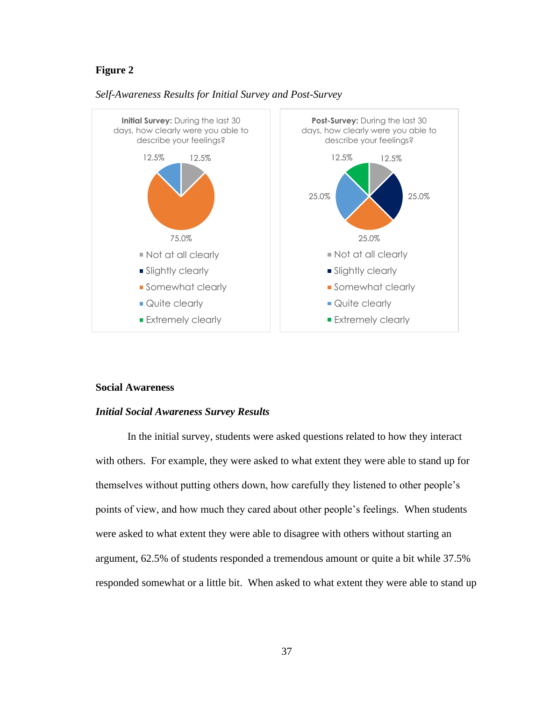# **Figure 2**



#### *Self-Awareness Results for Initial Survey and Post-Survey*

#### **Social Awareness**

# *Initial Social Awareness Survey Results*

In the initial survey, students were asked questions related to how they interact with others. For example, they were asked to what extent they were able to stand up for themselves without putting others down, how carefully they listened to other people's points of view, and how much they cared about other people's feelings. When students were asked to what extent they were able to disagree with others without starting an argument, 62.5% of students responded a tremendous amount or quite a bit while 37.5% responded somewhat or a little bit. When asked to what extent they were able to stand up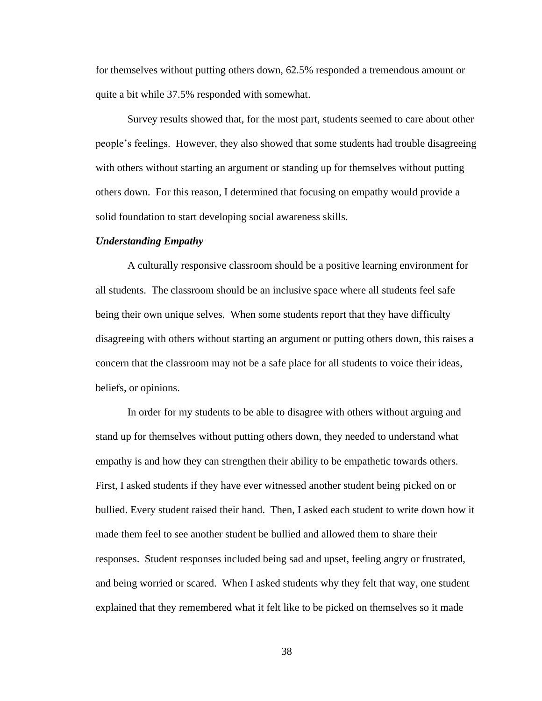for themselves without putting others down, 62.5% responded a tremendous amount or quite a bit while 37.5% responded with somewhat.

Survey results showed that, for the most part, students seemed to care about other people's feelings. However, they also showed that some students had trouble disagreeing with others without starting an argument or standing up for themselves without putting others down. For this reason, I determined that focusing on empathy would provide a solid foundation to start developing social awareness skills.

#### *Understanding Empathy*

A culturally responsive classroom should be a positive learning environment for all students. The classroom should be an inclusive space where all students feel safe being their own unique selves. When some students report that they have difficulty disagreeing with others without starting an argument or putting others down, this raises a concern that the classroom may not be a safe place for all students to voice their ideas, beliefs, or opinions.

In order for my students to be able to disagree with others without arguing and stand up for themselves without putting others down, they needed to understand what empathy is and how they can strengthen their ability to be empathetic towards others. First, I asked students if they have ever witnessed another student being picked on or bullied. Every student raised their hand. Then, I asked each student to write down how it made them feel to see another student be bullied and allowed them to share their responses. Student responses included being sad and upset, feeling angry or frustrated, and being worried or scared. When I asked students why they felt that way, one student explained that they remembered what it felt like to be picked on themselves so it made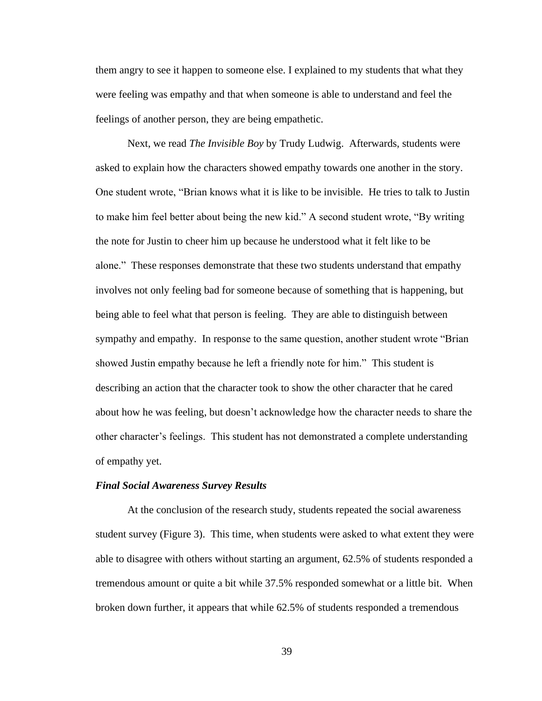them angry to see it happen to someone else. I explained to my students that what they were feeling was empathy and that when someone is able to understand and feel the feelings of another person, they are being empathetic.

Next, we read *The Invisible Boy* by Trudy Ludwig. Afterwards, students were asked to explain how the characters showed empathy towards one another in the story. One student wrote, "Brian knows what it is like to be invisible. He tries to talk to Justin to make him feel better about being the new kid." A second student wrote, "By writing the note for Justin to cheer him up because he understood what it felt like to be alone." These responses demonstrate that these two students understand that empathy involves not only feeling bad for someone because of something that is happening, but being able to feel what that person is feeling. They are able to distinguish between sympathy and empathy. In response to the same question, another student wrote "Brian showed Justin empathy because he left a friendly note for him." This student is describing an action that the character took to show the other character that he cared about how he was feeling, but doesn't acknowledge how the character needs to share the other character's feelings. This student has not demonstrated a complete understanding of empathy yet.

#### *Final Social Awareness Survey Results*

At the conclusion of the research study, students repeated the social awareness student survey (Figure 3). This time, when students were asked to what extent they were able to disagree with others without starting an argument, 62.5% of students responded a tremendous amount or quite a bit while 37.5% responded somewhat or a little bit. When broken down further, it appears that while 62.5% of students responded a tremendous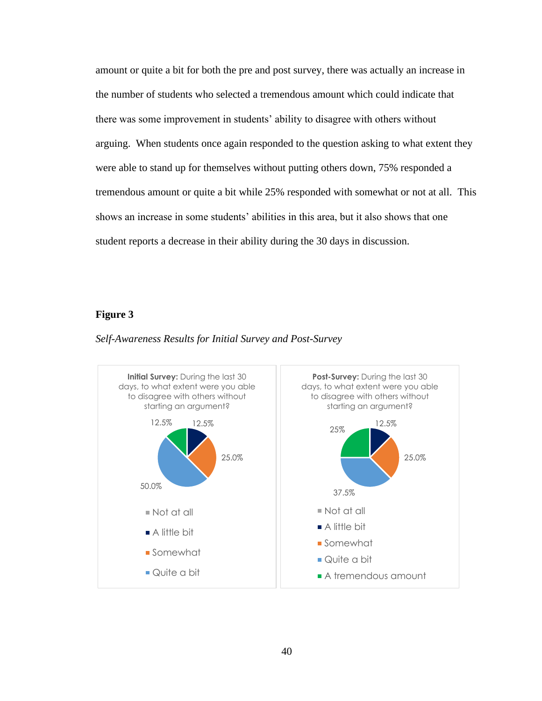amount or quite a bit for both the pre and post survey, there was actually an increase in the number of students who selected a tremendous amount which could indicate that there was some improvement in students' ability to disagree with others without arguing. When students once again responded to the question asking to what extent they were able to stand up for themselves without putting others down, 75% responded a tremendous amount or quite a bit while 25% responded with somewhat or not at all. This shows an increase in some students' abilities in this area, but it also shows that one student reports a decrease in their ability during the 30 days in discussion.

#### **Figure 3**



#### *Self-Awareness Results for Initial Survey and Post-Survey*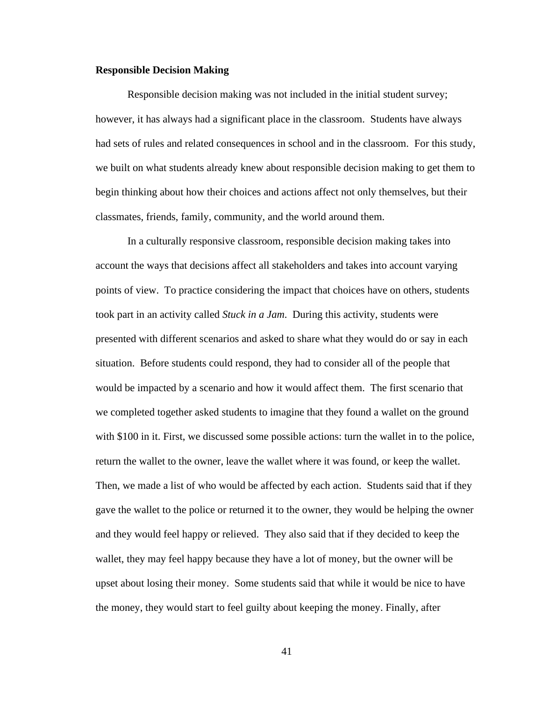#### **Responsible Decision Making**

Responsible decision making was not included in the initial student survey; however, it has always had a significant place in the classroom. Students have always had sets of rules and related consequences in school and in the classroom. For this study, we built on what students already knew about responsible decision making to get them to begin thinking about how their choices and actions affect not only themselves, but their classmates, friends, family, community, and the world around them.

In a culturally responsive classroom, responsible decision making takes into account the ways that decisions affect all stakeholders and takes into account varying points of view. To practice considering the impact that choices have on others, students took part in an activity called *Stuck in a Jam*. During this activity, students were presented with different scenarios and asked to share what they would do or say in each situation. Before students could respond, they had to consider all of the people that would be impacted by a scenario and how it would affect them. The first scenario that we completed together asked students to imagine that they found a wallet on the ground with \$100 in it. First, we discussed some possible actions: turn the wallet in to the police, return the wallet to the owner, leave the wallet where it was found, or keep the wallet. Then, we made a list of who would be affected by each action. Students said that if they gave the wallet to the police or returned it to the owner, they would be helping the owner and they would feel happy or relieved. They also said that if they decided to keep the wallet, they may feel happy because they have a lot of money, but the owner will be upset about losing their money. Some students said that while it would be nice to have the money, they would start to feel guilty about keeping the money. Finally, after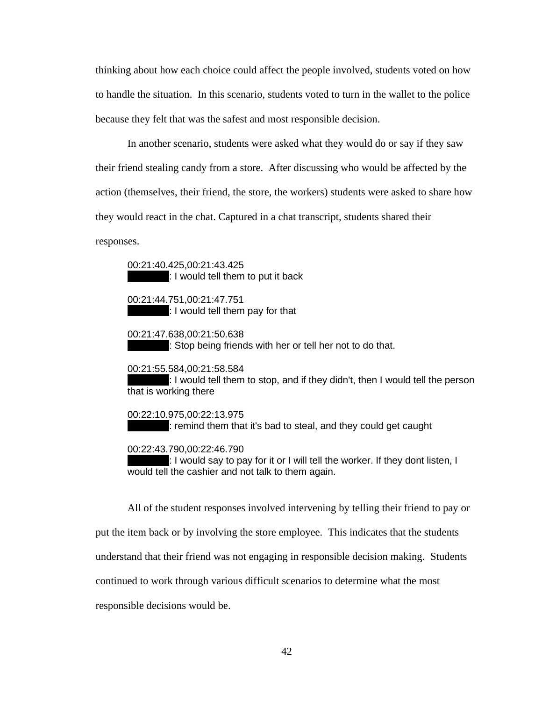thinking about how each choice could affect the people involved, students voted on how to handle the situation. In this scenario, students voted to turn in the wallet to the police because they felt that was the safest and most responsible decision.

In another scenario, students were asked what they would do or say if they saw their friend stealing candy from a store. After discussing who would be affected by the action (themselves, their friend, the store, the workers) students were asked to share how they would react in the chat. Captured in a chat transcript, students shared their

responses.

00:21:40.425,00:21:43.425 : I would tell them to put it back

00:21:44.751,00:21:47.751  $: I$  would tell them pay for that

00:21:47.638,00:21:50.638 : Stop being friends with her or tell her not to do that.

00:21:55.584,00:21:58.584

 $: I$  would tell them to stop, and if they didn't, then I would tell the person that is working there

00:22:10.975,00:22:13.975  $\pm$ : remind them that it's bad to steal, and they could get caught

00:22:43.790,00:22:46.790

: I would say to pay for it or I will tell the worker. If they dont listen, I would tell the cashier and not talk to them again.

All of the student responses involved intervening by telling their friend to pay or put the item back or by involving the store employee. This indicates that the students understand that their friend was not engaging in responsible decision making. Students continued to work through various difficult scenarios to determine what the most responsible decisions would be.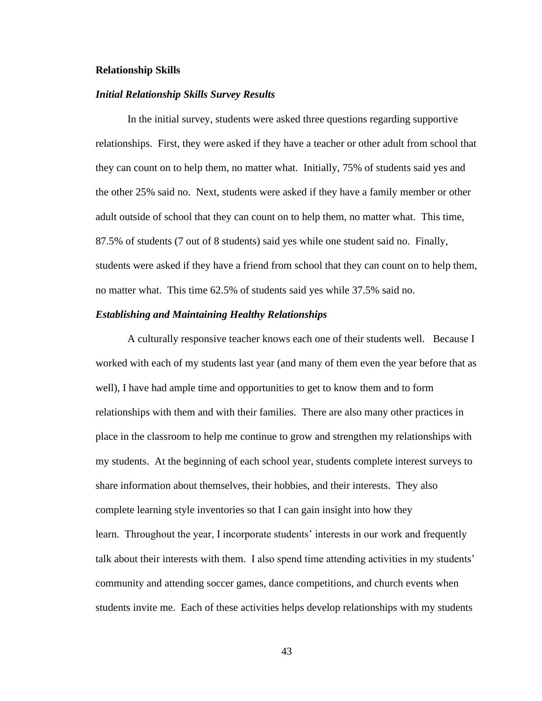#### **Relationship Skills**

# *Initial Relationship Skills Survey Results*

In the initial survey, students were asked three questions regarding supportive relationships. First, they were asked if they have a teacher or other adult from school that they can count on to help them, no matter what. Initially, 75% of students said yes and the other 25% said no. Next, students were asked if they have a family member or other adult outside of school that they can count on to help them, no matter what. This time, 87.5% of students (7 out of 8 students) said yes while one student said no. Finally, students were asked if they have a friend from school that they can count on to help them, no matter what. This time 62.5% of students said yes while 37.5% said no.

#### *Establishing and Maintaining Healthy Relationships*

A culturally responsive teacher knows each one of their students well. Because I worked with each of my students last year (and many of them even the year before that as well), I have had ample time and opportunities to get to know them and to form relationships with them and with their families. There are also many other practices in place in the classroom to help me continue to grow and strengthen my relationships with my students. At the beginning of each school year, students complete interest surveys to share information about themselves, their hobbies, and their interests. They also complete learning style inventories so that I can gain insight into how they learn. Throughout the year, I incorporate students' interests in our work and frequently talk about their interests with them. I also spend time attending activities in my students' community and attending soccer games, dance competitions, and church events when students invite me. Each of these activities helps develop relationships with my students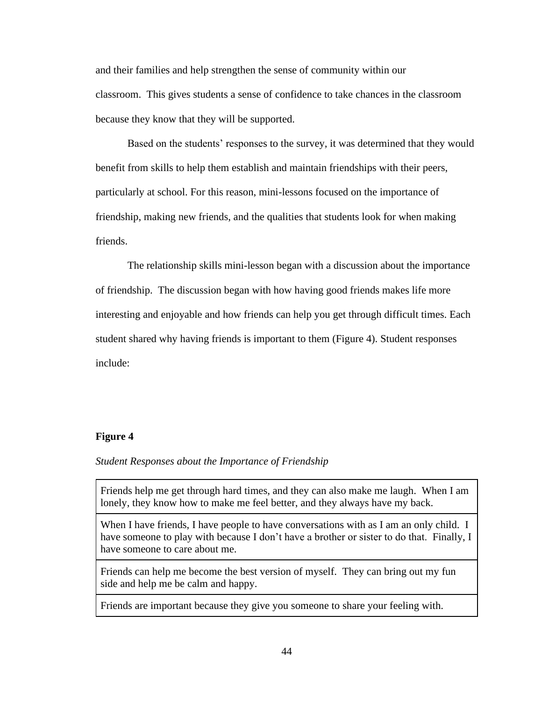and their families and help strengthen the sense of community within our classroom. This gives students a sense of confidence to take chances in the classroom because they know that they will be supported.

Based on the students' responses to the survey, it was determined that they would benefit from skills to help them establish and maintain friendships with their peers, particularly at school. For this reason, mini-lessons focused on the importance of friendship, making new friends, and the qualities that students look for when making friends.

The relationship skills mini-lesson began with a discussion about the importance of friendship. The discussion began with how having good friends makes life more interesting and enjoyable and how friends can help you get through difficult times. Each student shared why having friends is important to them (Figure 4). Student responses include:

#### **Figure 4**

#### *Student Responses about the Importance of Friendship*

Friends help me get through hard times, and they can also make me laugh. When I am lonely, they know how to make me feel better, and they always have my back.

When I have friends, I have people to have conversations with as I am an only child. I have someone to play with because I don't have a brother or sister to do that. Finally, I have someone to care about me.

Friends can help me become the best version of myself. They can bring out my fun side and help me be calm and happy.

Friends are important because they give you someone to share your feeling with.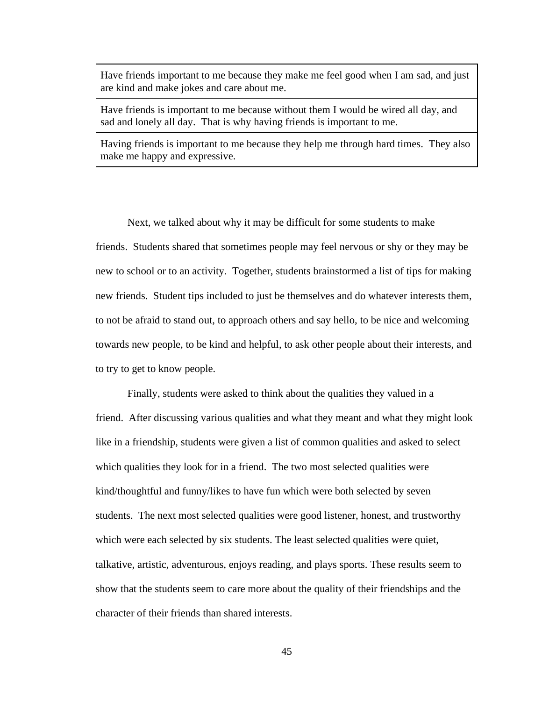Have friends important to me because they make me feel good when I am sad, and just are kind and make jokes and care about me.

Have friends is important to me because without them I would be wired all day, and sad and lonely all day. That is why having friends is important to me.

Having friends is important to me because they help me through hard times. They also make me happy and expressive.

Next, we talked about why it may be difficult for some students to make friends. Students shared that sometimes people may feel nervous or shy or they may be new to school or to an activity. Together, students brainstormed a list of tips for making new friends. Student tips included to just be themselves and do whatever interests them, to not be afraid to stand out, to approach others and say hello, to be nice and welcoming towards new people, to be kind and helpful, to ask other people about their interests, and to try to get to know people.

Finally, students were asked to think about the qualities they valued in a friend. After discussing various qualities and what they meant and what they might look like in a friendship, students were given a list of common qualities and asked to select which qualities they look for in a friend. The two most selected qualities were kind/thoughtful and funny/likes to have fun which were both selected by seven students. The next most selected qualities were good listener, honest, and trustworthy which were each selected by six students. The least selected qualities were quiet, talkative, artistic, adventurous, enjoys reading, and plays sports. These results seem to show that the students seem to care more about the quality of their friendships and the character of their friends than shared interests.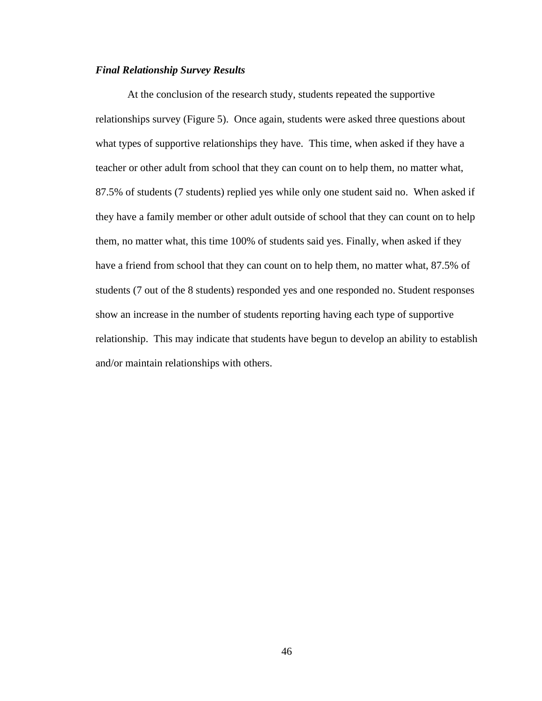# *Final Relationship Survey Results*

At the conclusion of the research study, students repeated the supportive relationships survey (Figure 5). Once again, students were asked three questions about what types of supportive relationships they have. This time, when asked if they have a teacher or other adult from school that they can count on to help them, no matter what, 87.5% of students (7 students) replied yes while only one student said no. When asked if they have a family member or other adult outside of school that they can count on to help them, no matter what, this time 100% of students said yes. Finally, when asked if they have a friend from school that they can count on to help them, no matter what, 87.5% of students (7 out of the 8 students) responded yes and one responded no. Student responses show an increase in the number of students reporting having each type of supportive relationship. This may indicate that students have begun to develop an ability to establish and/or maintain relationships with others.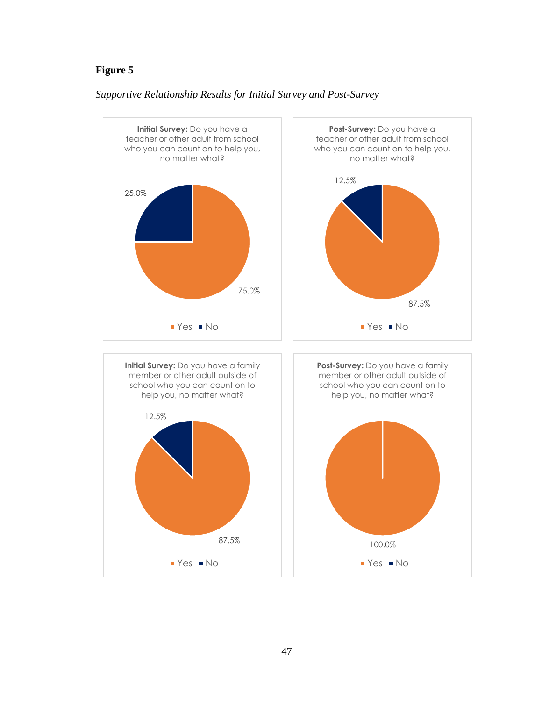# **Figure 5**



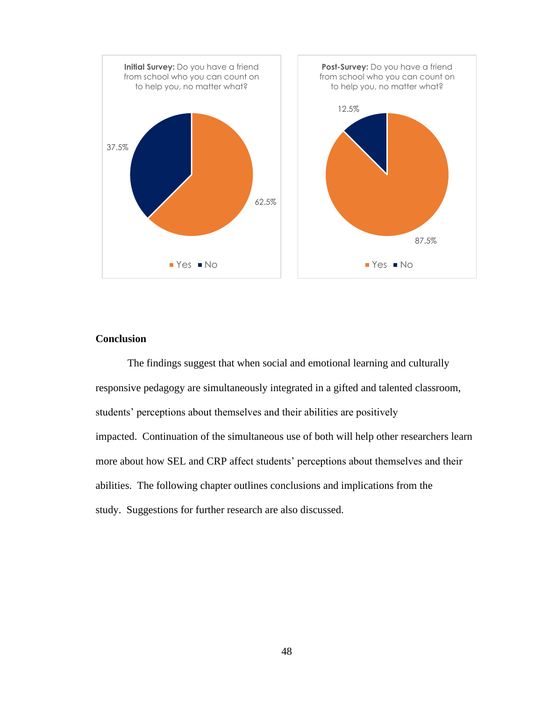

# **Conclusion**

The findings suggest that when social and emotional learning and culturally responsive pedagogy are simultaneously integrated in a gifted and talented classroom, students' perceptions about themselves and their abilities are positively impacted. Continuation of the simultaneous use of both will help other researchers learn more about how SEL and CRP affect students' perceptions about themselves and their abilities. The following chapter outlines conclusions and implications from the study. Suggestions for further research are also discussed.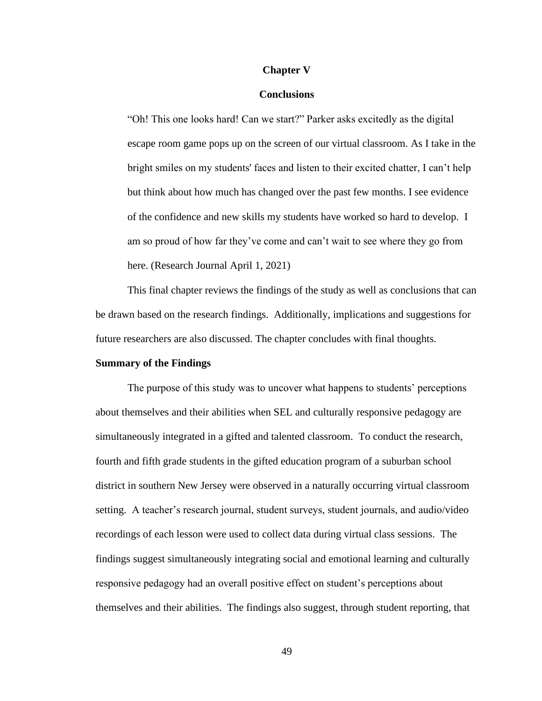#### **Chapter V**

### **Conclusions**

"Oh! This one looks hard! Can we start?" Parker asks excitedly as the digital escape room game pops up on the screen of our virtual classroom. As I take in the bright smiles on my students' faces and listen to their excited chatter, I can't help but think about how much has changed over the past few months. I see evidence of the confidence and new skills my students have worked so hard to develop. I am so proud of how far they've come and can't wait to see where they go from here. (Research Journal April 1, 2021)

This final chapter reviews the findings of the study as well as conclusions that can be drawn based on the research findings. Additionally, implications and suggestions for future researchers are also discussed. The chapter concludes with final thoughts.

#### **Summary of the Findings**

The purpose of this study was to uncover what happens to students' perceptions about themselves and their abilities when SEL and culturally responsive pedagogy are simultaneously integrated in a gifted and talented classroom. To conduct the research, fourth and fifth grade students in the gifted education program of a suburban school district in southern New Jersey were observed in a naturally occurring virtual classroom setting. A teacher's research journal, student surveys, student journals, and audio/video recordings of each lesson were used to collect data during virtual class sessions. The findings suggest simultaneously integrating social and emotional learning and culturally responsive pedagogy had an overall positive effect on student's perceptions about themselves and their abilities. The findings also suggest, through student reporting, that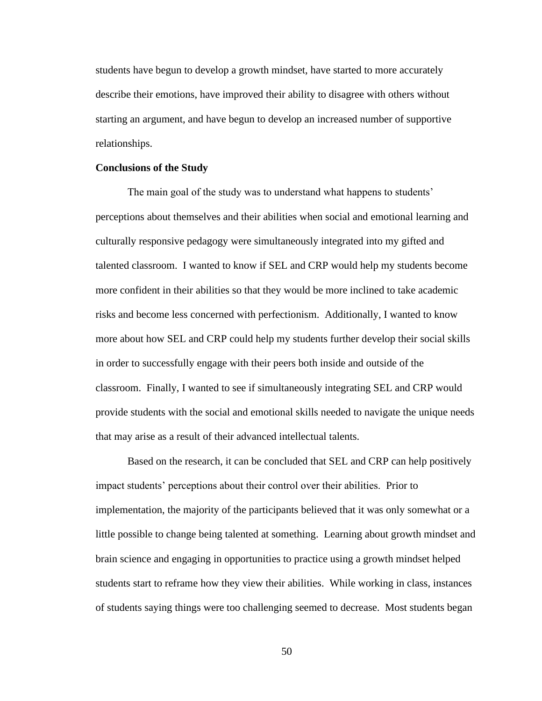students have begun to develop a growth mindset, have started to more accurately describe their emotions, have improved their ability to disagree with others without starting an argument, and have begun to develop an increased number of supportive relationships.

#### **Conclusions of the Study**

The main goal of the study was to understand what happens to students' perceptions about themselves and their abilities when social and emotional learning and culturally responsive pedagogy were simultaneously integrated into my gifted and talented classroom. I wanted to know if SEL and CRP would help my students become more confident in their abilities so that they would be more inclined to take academic risks and become less concerned with perfectionism. Additionally, I wanted to know more about how SEL and CRP could help my students further develop their social skills in order to successfully engage with their peers both inside and outside of the classroom. Finally, I wanted to see if simultaneously integrating SEL and CRP would provide students with the social and emotional skills needed to navigate the unique needs that may arise as a result of their advanced intellectual talents.

Based on the research, it can be concluded that SEL and CRP can help positively impact students' perceptions about their control over their abilities. Prior to implementation, the majority of the participants believed that it was only somewhat or a little possible to change being talented at something. Learning about growth mindset and brain science and engaging in opportunities to practice using a growth mindset helped students start to reframe how they view their abilities. While working in class, instances of students saying things were too challenging seemed to decrease. Most students began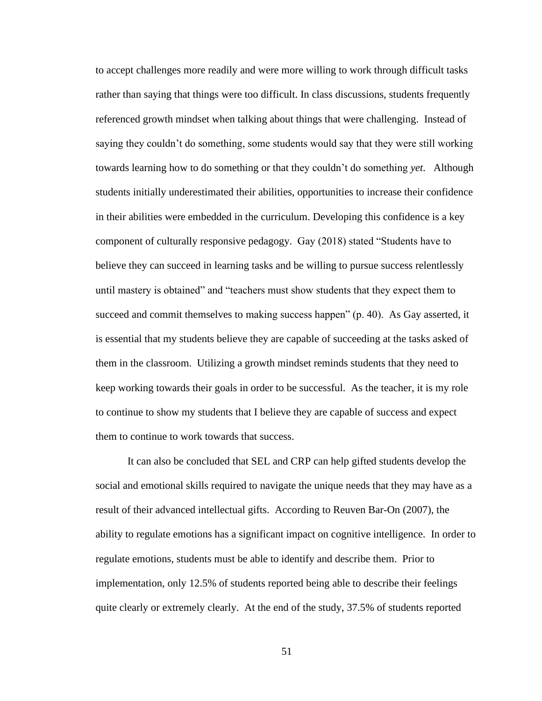to accept challenges more readily and were more willing to work through difficult tasks rather than saying that things were too difficult. In class discussions, students frequently referenced growth mindset when talking about things that were challenging. Instead of saying they couldn't do something, some students would say that they were still working towards learning how to do something or that they couldn't do something *yet*. Although students initially underestimated their abilities, opportunities to increase their confidence in their abilities were embedded in the curriculum. Developing this confidence is a key component of culturally responsive pedagogy. Gay (2018) stated "Students have to believe they can succeed in learning tasks and be willing to pursue success relentlessly until mastery is obtained" and "teachers must show students that they expect them to succeed and commit themselves to making success happen" (p. 40). As Gay asserted, it is essential that my students believe they are capable of succeeding at the tasks asked of them in the classroom. Utilizing a growth mindset reminds students that they need to keep working towards their goals in order to be successful. As the teacher, it is my role to continue to show my students that I believe they are capable of success and expect them to continue to work towards that success.

It can also be concluded that SEL and CRP can help gifted students develop the social and emotional skills required to navigate the unique needs that they may have as a result of their advanced intellectual gifts. According to Reuven Bar-On (2007), the ability to regulate emotions has a significant impact on cognitive intelligence. In order to regulate emotions, students must be able to identify and describe them. Prior to implementation, only 12.5% of students reported being able to describe their feelings quite clearly or extremely clearly. At the end of the study, 37.5% of students reported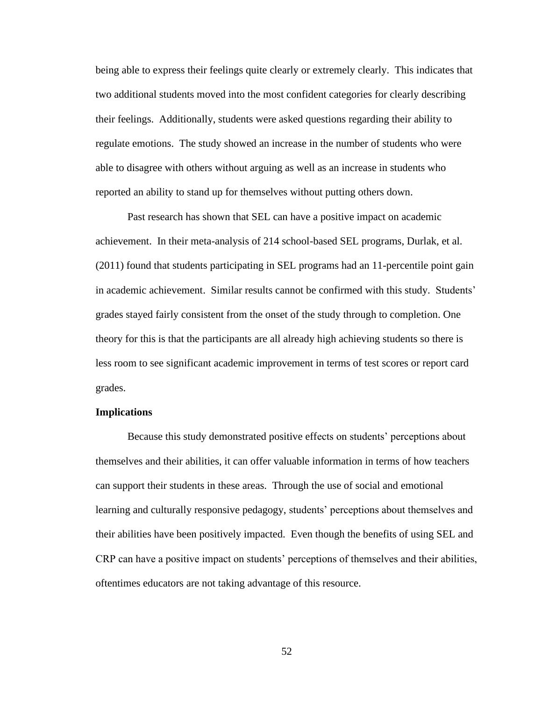being able to express their feelings quite clearly or extremely clearly. This indicates that two additional students moved into the most confident categories for clearly describing their feelings. Additionally, students were asked questions regarding their ability to regulate emotions. The study showed an increase in the number of students who were able to disagree with others without arguing as well as an increase in students who reported an ability to stand up for themselves without putting others down.

Past research has shown that SEL can have a positive impact on academic achievement. In their meta-analysis of 214 school-based SEL programs, Durlak, et al. (2011) found that students participating in SEL programs had an 11-percentile point gain in academic achievement. Similar results cannot be confirmed with this study. Students' grades stayed fairly consistent from the onset of the study through to completion. One theory for this is that the participants are all already high achieving students so there is less room to see significant academic improvement in terms of test scores or report card grades.

# **Implications**

Because this study demonstrated positive effects on students' perceptions about themselves and their abilities, it can offer valuable information in terms of how teachers can support their students in these areas. Through the use of social and emotional learning and culturally responsive pedagogy, students' perceptions about themselves and their abilities have been positively impacted. Even though the benefits of using SEL and CRP can have a positive impact on students' perceptions of themselves and their abilities, oftentimes educators are not taking advantage of this resource.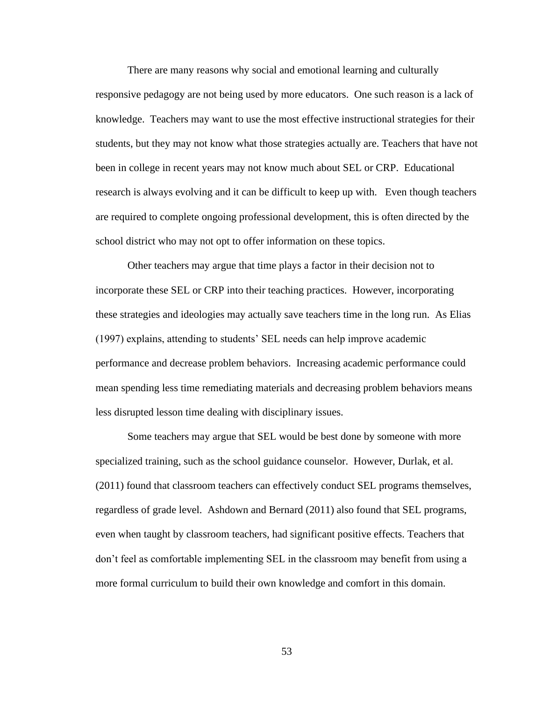There are many reasons why social and emotional learning and culturally responsive pedagogy are not being used by more educators. One such reason is a lack of knowledge. Teachers may want to use the most effective instructional strategies for their students, but they may not know what those strategies actually are. Teachers that have not been in college in recent years may not know much about SEL or CRP. Educational research is always evolving and it can be difficult to keep up with. Even though teachers are required to complete ongoing professional development, this is often directed by the school district who may not opt to offer information on these topics.

Other teachers may argue that time plays a factor in their decision not to incorporate these SEL or CRP into their teaching practices. However, incorporating these strategies and ideologies may actually save teachers time in the long run. As Elias (1997) explains, attending to students' SEL needs can help improve academic performance and decrease problem behaviors. Increasing academic performance could mean spending less time remediating materials and decreasing problem behaviors means less disrupted lesson time dealing with disciplinary issues.

Some teachers may argue that SEL would be best done by someone with more specialized training, such as the school guidance counselor. However, Durlak, et al. (2011) found that classroom teachers can effectively conduct SEL programs themselves, regardless of grade level. Ashdown and Bernard (2011) also found that SEL programs, even when taught by classroom teachers, had significant positive effects. Teachers that don't feel as comfortable implementing SEL in the classroom may benefit from using a more formal curriculum to build their own knowledge and comfort in this domain.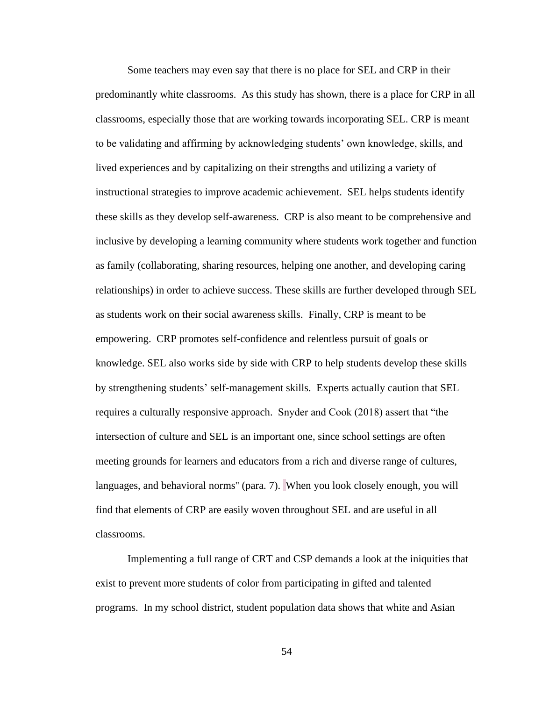Some teachers may even say that there is no place for SEL and CRP in their predominantly white classrooms. As this study has shown, there is a place for CRP in all classrooms, especially those that are working towards incorporating SEL. CRP is meant to be validating and affirming by acknowledging students' own knowledge, skills, and lived experiences and by capitalizing on their strengths and utilizing a variety of instructional strategies to improve academic achievement. SEL helps students identify these skills as they develop self-awareness. CRP is also meant to be comprehensive and inclusive by developing a learning community where students work together and function as family (collaborating, sharing resources, helping one another, and developing caring relationships) in order to achieve success. These skills are further developed through SEL as students work on their social awareness skills. Finally, CRP is meant to be empowering. CRP promotes self-confidence and relentless pursuit of goals or knowledge. SEL also works side by side with CRP to help students develop these skills by strengthening students' self-management skills. Experts actually caution that SEL requires a culturally responsive approach. Snyder and Cook (2018) assert that "the intersection of culture and SEL is an important one, since school settings are often meeting grounds for learners and educators from a rich and diverse range of cultures, languages, and behavioral norms'' (para. 7). When you look closely enough, you will find that elements of CRP are easily woven throughout SEL and are useful in all classrooms.

Implementing a full range of CRT and CSP demands a look at the iniquities that exist to prevent more students of color from participating in gifted and talented programs. In my school district, student population data shows that white and Asian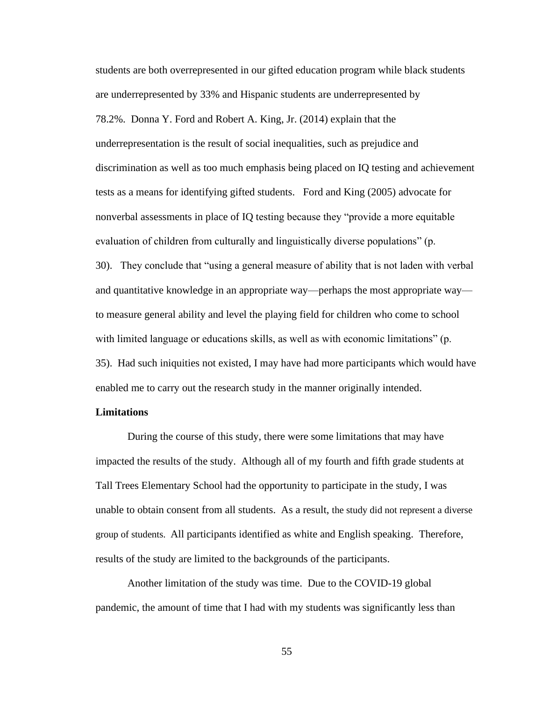students are both overrepresented in our gifted education program while black students are underrepresented by 33% and Hispanic students are underrepresented by 78.2%. Donna Y. Ford and Robert A. King, Jr. (2014) explain that the underrepresentation is the result of social inequalities, such as prejudice and discrimination as well as too much emphasis being placed on IQ testing and achievement tests as a means for identifying gifted students. Ford and King (2005) advocate for nonverbal assessments in place of IQ testing because they "provide a more equitable evaluation of children from culturally and linguistically diverse populations" (p. 30). They conclude that "using a general measure of ability that is not laden with verbal and quantitative knowledge in an appropriate way—perhaps the most appropriate way to measure general ability and level the playing field for children who come to school with limited language or educations skills, as well as with economic limitations" (p. 35). Had such iniquities not existed, I may have had more participants which would have enabled me to carry out the research study in the manner originally intended.

# **Limitations**

During the course of this study, there were some limitations that may have impacted the results of the study. Although all of my fourth and fifth grade students at Tall Trees Elementary School had the opportunity to participate in the study, I was unable to obtain consent from all students. As a result, the study did not represent a diverse group of students. All participants identified as white and English speaking. Therefore, results of the study are limited to the backgrounds of the participants.

Another limitation of the study was time. Due to the COVID-19 global pandemic, the amount of time that I had with my students was significantly less than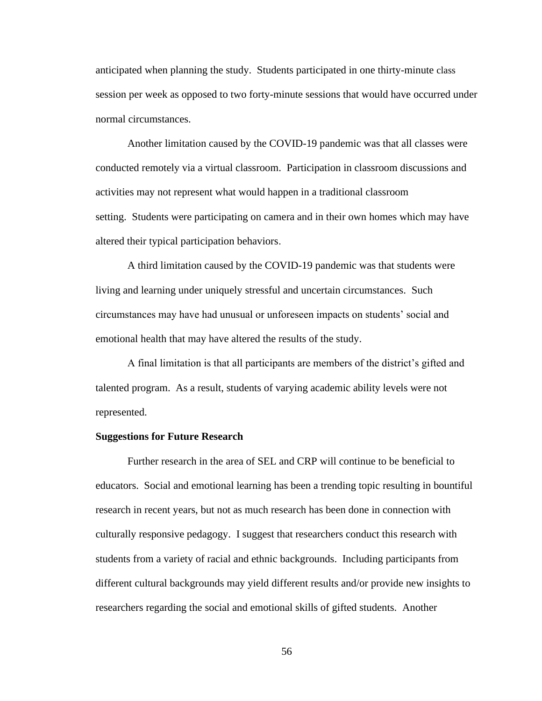anticipated when planning the study. Students participated in one thirty-minute class session per week as opposed to two forty-minute sessions that would have occurred under normal circumstances.

Another limitation caused by the COVID-19 pandemic was that all classes were conducted remotely via a virtual classroom. Participation in classroom discussions and activities may not represent what would happen in a traditional classroom setting. Students were participating on camera and in their own homes which may have altered their typical participation behaviors.

A third limitation caused by the COVID-19 pandemic was that students were living and learning under uniquely stressful and uncertain circumstances. Such circumstances may have had unusual or unforeseen impacts on students' social and emotional health that may have altered the results of the study.

A final limitation is that all participants are members of the district's gifted and talented program. As a result, students of varying academic ability levels were not represented.

#### **Suggestions for Future Research**

Further research in the area of SEL and CRP will continue to be beneficial to educators. Social and emotional learning has been a trending topic resulting in bountiful research in recent years, but not as much research has been done in connection with culturally responsive pedagogy. I suggest that researchers conduct this research with students from a variety of racial and ethnic backgrounds. Including participants from different cultural backgrounds may yield different results and/or provide new insights to researchers regarding the social and emotional skills of gifted students. Another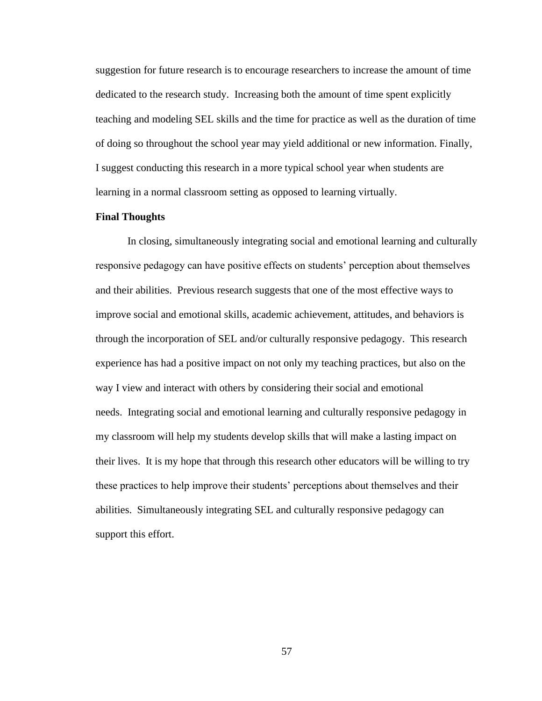suggestion for future research is to encourage researchers to increase the amount of time dedicated to the research study. Increasing both the amount of time spent explicitly teaching and modeling SEL skills and the time for practice as well as the duration of time of doing so throughout the school year may yield additional or new information. Finally, I suggest conducting this research in a more typical school year when students are learning in a normal classroom setting as opposed to learning virtually.

# **Final Thoughts**

In closing, simultaneously integrating social and emotional learning and culturally responsive pedagogy can have positive effects on students' perception about themselves and their abilities. Previous research suggests that one of the most effective ways to improve social and emotional skills, academic achievement, attitudes, and behaviors is through the incorporation of SEL and/or culturally responsive pedagogy. This research experience has had a positive impact on not only my teaching practices, but also on the way I view and interact with others by considering their social and emotional needs. Integrating social and emotional learning and culturally responsive pedagogy in my classroom will help my students develop skills that will make a lasting impact on their lives. It is my hope that through this research other educators will be willing to try these practices to help improve their students' perceptions about themselves and their abilities. Simultaneously integrating SEL and culturally responsive pedagogy can support this effort.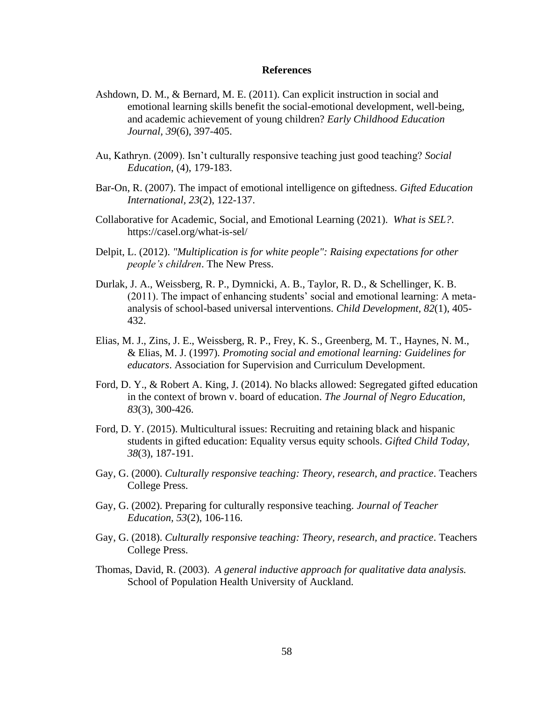#### **References**

- Ashdown, D. M., & Bernard, M. E. (2011). Can explicit instruction in social and emotional learning skills benefit the social-emotional development, well-being, and academic achievement of young children? *Early Childhood Education Journal, 39*(6), 397-405.
- Au, Kathryn. (2009). Isn't culturally responsive teaching just good teaching? *Social Education*, (4), 179-183.
- Bar-On, R. (2007). The impact of emotional intelligence on giftedness. *Gifted Education International, 23*(2), 122-137.
- Collaborative for Academic, Social, and Emotional Learning (2021). *What is SEL?*. https://casel.org/what-is-sel/
- Delpit, L. (2012). *"Multiplication is for white people": Raising expectations for other people's children*. The New Press.
- Durlak, J. A., Weissberg, R. P., Dymnicki, A. B., Taylor, R. D., & Schellinger, K. B. (2011). The impact of enhancing students' social and emotional learning: A metaanalysis of school-based universal interventions. *Child Development, 82*(1), 405- 432.
- Elias, M. J., Zins, J. E., Weissberg, R. P., Frey, K. S., Greenberg, M. T., Haynes, N. M., & Elias, M. J. (1997). *Promoting social and emotional learning: Guidelines for educators*. Association for Supervision and Curriculum Development.
- Ford, D. Y., & Robert A. King, J. (2014). No blacks allowed: Segregated gifted education in the context of brown v. board of education. *The Journal of Negro Education, 83*(3), 300-426.
- Ford, D. Y. (2015). Multicultural issues: Recruiting and retaining black and hispanic students in gifted education: Equality versus equity schools. *Gifted Child Today, 38*(3), 187-191.
- Gay, G. (2000). *Culturally responsive teaching: Theory, research, and practice*. Teachers College Press.
- Gay, G. (2002). Preparing for culturally responsive teaching. *Journal of Teacher Education, 53*(2), 106-116.
- Gay, G. (2018). *Culturally responsive teaching: Theory, research, and practice*. Teachers College Press.
- Thomas, David, R. (2003). *A general inductive approach for qualitative data analysis.*  School of Population Health University of Auckland.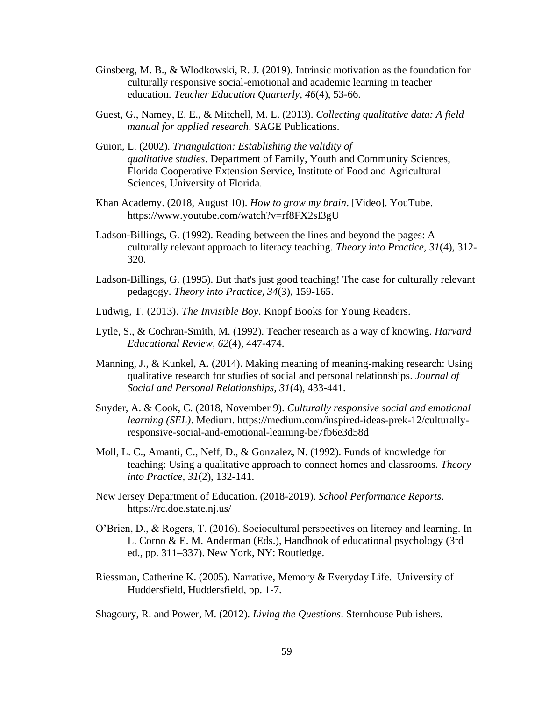- Ginsberg, M. B., & Wlodkowski, R. J. (2019). Intrinsic motivation as the foundation for culturally responsive social-emotional and academic learning in teacher education. *Teacher Education Quarterly, 46*(4), 53-66.
- Guest, G., Namey, E. E., & Mitchell, M. L. (2013). *Collecting qualitative data: A field manual for applied research*. SAGE Publications.
- Guion, L. (2002). *Triangulation: Establishing the validity of qualitative studies*. Department of Family, Youth and Community Sciences, Florida Cooperative Extension Service, Institute of Food and Agricultural Sciences, University of Florida.
- Khan Academy. (2018, August 10). *How to grow my brain*. [Video]. YouTube. https://www.youtube.com/watch?v=rf8FX2sI3gU
- Ladson-Billings, G. (1992). Reading between the lines and beyond the pages: A culturally relevant approach to literacy teaching. *Theory into Practice, 31*(4), 312- 320.
- Ladson-Billings, G. (1995). But that's just good teaching! The case for culturally relevant pedagogy. *Theory into Practice, 34*(3), 159-165.
- Ludwig, T. (2013). *The Invisible Boy*. Knopf Books for Young Readers.
- Lytle, S., & Cochran-Smith, M. (1992). Teacher research as a way of knowing. *Harvard Educational Review, 62*(4), 447-474.
- Manning, J., & Kunkel, A. (2014). Making meaning of meaning-making research: Using qualitative research for studies of social and personal relationships. *Journal of Social and Personal Relationships, 31*(4), 433-441.
- Snyder, A. & Cook, C. (2018, November 9). *Culturally responsive social and emotional learning (SEL)*. Medium. https://medium.com/inspired-ideas-prek-12/culturallyresponsive-social-and-emotional-learning-be7fb6e3d58d
- Moll, L. C., Amanti, C., Neff, D., & Gonzalez, N. (1992). Funds of knowledge for teaching: Using a qualitative approach to connect homes and classrooms. *Theory into Practice, 31*(2), 132-141.
- New Jersey Department of Education. (2018-2019). *School Performance Reports*. https://rc.doe.state.nj.us/
- O'Brien, D., & Rogers, T. (2016). Sociocultural perspectives on literacy and learning. In L. Corno & E. M. Anderman (Eds.), Handbook of educational psychology (3rd ed., pp. 311–337). New York, NY: Routledge.
- Riessman, Catherine K. (2005). Narrative, Memory & Everyday Life. University of Huddersfield, Huddersfield, pp. 1-7.

Shagoury, R. and Power, M. (2012). *Living the Questions*. Sternhouse Publishers.